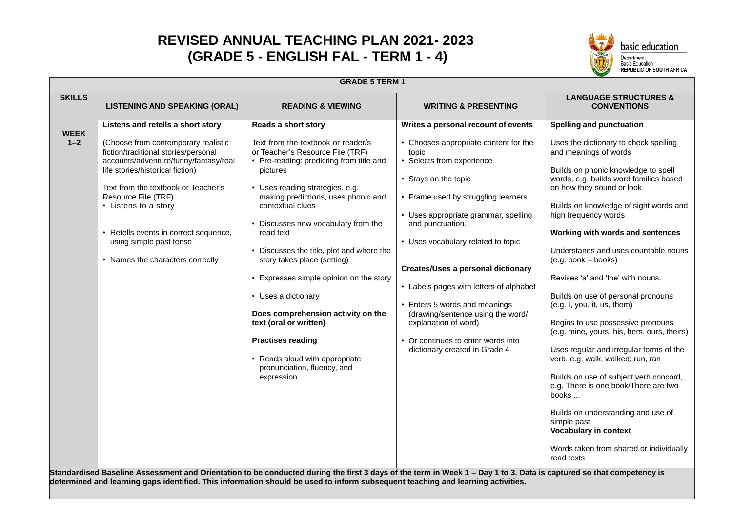## **REVISED ANNUAL TEACHING PLAN 2021- 2023 (GRADE 5 - ENGLISH FAL - TERM 1 - 4)**



|               |                                                                                                                                                                                                                                                                                                                                                                                                                                                                                                                               | <b>GRADE 5 TERM 1</b>                                                                                                                                                                                                                                                                                                                                                                                                                                                                                                                                                                                     |                                                                                                                                                                                                                                                                                                                                                                                                                                                                                                         |                                                                                                                                                                                                                                                                                                                                                                                                                                                                                                                                                                                                                                                                                                                                                                                                                                                                             |
|---------------|-------------------------------------------------------------------------------------------------------------------------------------------------------------------------------------------------------------------------------------------------------------------------------------------------------------------------------------------------------------------------------------------------------------------------------------------------------------------------------------------------------------------------------|-----------------------------------------------------------------------------------------------------------------------------------------------------------------------------------------------------------------------------------------------------------------------------------------------------------------------------------------------------------------------------------------------------------------------------------------------------------------------------------------------------------------------------------------------------------------------------------------------------------|---------------------------------------------------------------------------------------------------------------------------------------------------------------------------------------------------------------------------------------------------------------------------------------------------------------------------------------------------------------------------------------------------------------------------------------------------------------------------------------------------------|-----------------------------------------------------------------------------------------------------------------------------------------------------------------------------------------------------------------------------------------------------------------------------------------------------------------------------------------------------------------------------------------------------------------------------------------------------------------------------------------------------------------------------------------------------------------------------------------------------------------------------------------------------------------------------------------------------------------------------------------------------------------------------------------------------------------------------------------------------------------------------|
| <b>SKILLS</b> | <b>LISTENING AND SPEAKING (ORAL)</b>                                                                                                                                                                                                                                                                                                                                                                                                                                                                                          | <b>READING &amp; VIEWING</b>                                                                                                                                                                                                                                                                                                                                                                                                                                                                                                                                                                              | <b>WRITING &amp; PRESENTING</b>                                                                                                                                                                                                                                                                                                                                                                                                                                                                         | <b>LANGUAGE STRUCTURES &amp;</b><br><b>CONVENTIONS</b>                                                                                                                                                                                                                                                                                                                                                                                                                                                                                                                                                                                                                                                                                                                                                                                                                      |
| <b>WEEK</b>   | Listens and retells a short story                                                                                                                                                                                                                                                                                                                                                                                                                                                                                             | Reads a short story                                                                                                                                                                                                                                                                                                                                                                                                                                                                                                                                                                                       | Writes a personal recount of events                                                                                                                                                                                                                                                                                                                                                                                                                                                                     | <b>Spelling and punctuation</b>                                                                                                                                                                                                                                                                                                                                                                                                                                                                                                                                                                                                                                                                                                                                                                                                                                             |
| $1 - 2$       | (Choose from contemporary realistic<br>fiction/traditional stories/personal<br>accounts/adventure/funny/fantasy/real<br>life stories/historical fiction)<br>Text from the textbook or Teacher's<br>Resource File (TRF)<br>• Listens to a story<br>• Retells events in correct sequence,<br>using simple past tense<br>• Names the characters correctly<br>Standardised Baseline Assessment and Orientation to be conducted during the first 3 days of the term in Week 1 - Day 1 to 3. Data is captured so that competency is | Text from the textbook or reader/s<br>or Teacher's Resource File (TRF)<br>• Pre-reading: predicting from title and<br>pictures<br>• Uses reading strategies, e.g.<br>making predictions, uses phonic and<br>contextual clues<br>• Discusses new vocabulary from the<br>read text<br>• Discusses the title, plot and where the<br>story takes place (setting)<br>• Expresses simple opinion on the story<br>• Uses a dictionary<br>Does comprehension activity on the<br>text (oral or written)<br><b>Practises reading</b><br>• Reads aloud with appropriate<br>pronunciation, fluency, and<br>expression | • Chooses appropriate content for the<br>topic<br>• Selects from experience<br>• Stays on the topic<br>• Frame used by struggling learners<br>• Uses appropriate grammar, spelling<br>and punctuation.<br>• Uses vocabulary related to topic<br><b>Creates/Uses a personal dictionary</b><br>• Labels pages with letters of alphabet<br>Enters 5 words and meanings<br>(drawing/sentence using the word/<br>explanation of word)<br>• Or continues to enter words into<br>dictionary created in Grade 4 | Uses the dictionary to check spelling<br>and meanings of words<br>Builds on phonic knowledge to spell<br>words, e.g. builds word families based<br>on how they sound or look.<br>Builds on knowledge of sight words and<br>high frequency words<br>Working with words and sentences<br>Understands and uses countable nouns<br>$(e.g. book - books)$<br>Revises 'a' and 'the' with nouns.<br>Builds on use of personal pronouns<br>(e.g. I, you, it, us, them)<br>Begins to use possessive pronouns<br>(e.g. mine, yours, his, hers, ours, theirs)<br>Uses regular and irregular forms of the<br>verb, e.g. walk, walked; run, ran<br>Builds on use of subject verb concord,<br>e.g. There is one book/There are two<br>books<br>Builds on understanding and use of<br>simple past<br><b>Vocabulary in context</b><br>Words taken from shared or individually<br>read texts |

**determined and learning gaps identified. This information should be used to inform subsequent teaching and learning activities.**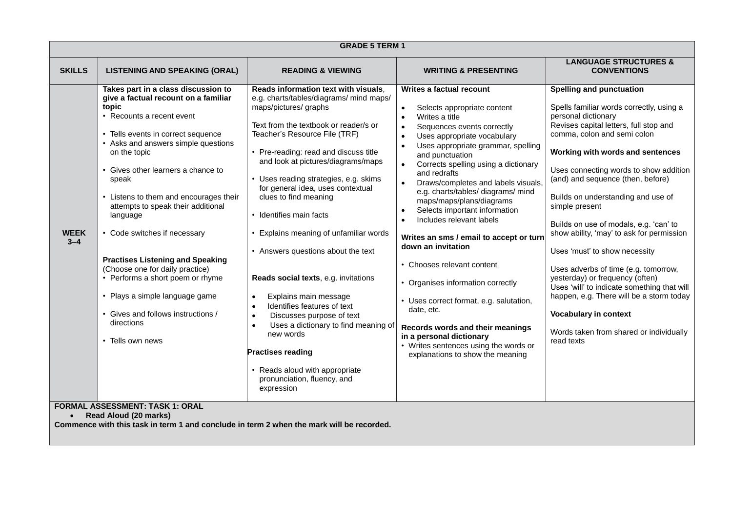| <b>GRADE 5 TERM 1</b>  |                                                                                                                                                                                                                                                                                                                                                                                                                                                                                                                                                                                                                                                               |                                                                                                                                                                                                                                                                                                                                                                                                                                                                                                                                                                                                                                                                                                                                                                                                                         |                                                                                                                                                                                                                                                                                                                                                                                                                                                                                                                                                                                                                                                                                                                                                                                                               |                                                                                                                                                                                                                                                                                                                                                                                                                                                                                                                                                                                                                                                                                                                                               |  |
|------------------------|---------------------------------------------------------------------------------------------------------------------------------------------------------------------------------------------------------------------------------------------------------------------------------------------------------------------------------------------------------------------------------------------------------------------------------------------------------------------------------------------------------------------------------------------------------------------------------------------------------------------------------------------------------------|-------------------------------------------------------------------------------------------------------------------------------------------------------------------------------------------------------------------------------------------------------------------------------------------------------------------------------------------------------------------------------------------------------------------------------------------------------------------------------------------------------------------------------------------------------------------------------------------------------------------------------------------------------------------------------------------------------------------------------------------------------------------------------------------------------------------------|---------------------------------------------------------------------------------------------------------------------------------------------------------------------------------------------------------------------------------------------------------------------------------------------------------------------------------------------------------------------------------------------------------------------------------------------------------------------------------------------------------------------------------------------------------------------------------------------------------------------------------------------------------------------------------------------------------------------------------------------------------------------------------------------------------------|-----------------------------------------------------------------------------------------------------------------------------------------------------------------------------------------------------------------------------------------------------------------------------------------------------------------------------------------------------------------------------------------------------------------------------------------------------------------------------------------------------------------------------------------------------------------------------------------------------------------------------------------------------------------------------------------------------------------------------------------------|--|
| <b>SKILLS</b>          | <b>LISTENING AND SPEAKING (ORAL)</b>                                                                                                                                                                                                                                                                                                                                                                                                                                                                                                                                                                                                                          | <b>READING &amp; VIEWING</b>                                                                                                                                                                                                                                                                                                                                                                                                                                                                                                                                                                                                                                                                                                                                                                                            | <b>WRITING &amp; PRESENTING</b>                                                                                                                                                                                                                                                                                                                                                                                                                                                                                                                                                                                                                                                                                                                                                                               | <b>LANGUAGE STRUCTURES &amp;</b><br><b>CONVENTIONS</b>                                                                                                                                                                                                                                                                                                                                                                                                                                                                                                                                                                                                                                                                                        |  |
| <b>WEEK</b><br>$3 - 4$ | Takes part in a class discussion to<br>give a factual recount on a familiar<br>topic<br>• Recounts a recent event<br>• Tells events in correct sequence<br>• Asks and answers simple questions<br>on the topic<br>Gives other learners a chance to<br>speak<br>• Listens to them and encourages their<br>attempts to speak their additional<br>language<br>• Code switches if necessary<br><b>Practises Listening and Speaking</b><br>(Choose one for daily practice)<br>• Performs a short poem or rhyme<br>• Plays a simple language game<br>• Gives and follows instructions /<br>directions<br>• Tells own news<br><b>FORMAL ASSESSMENT: TASK 1: ORAL</b> | Reads information text with visuals.<br>e.g. charts/tables/diagrams/ mind maps/<br>maps/pictures/ graphs<br>Text from the textbook or reader/s or<br>Teacher's Resource File (TRF)<br>• Pre-reading: read and discuss title<br>and look at pictures/diagrams/maps<br>• Uses reading strategies, e.g. skims<br>for general idea, uses contextual<br>clues to find meaning<br>• Identifies main facts<br>• Explains meaning of unfamiliar words<br>• Answers questions about the text<br>Reads social texts, e.g. invitations<br>Explains main message<br>$\bullet$<br>Identifies features of text<br>$\bullet$<br>Discusses purpose of text<br>$\bullet$<br>Uses a dictionary to find meaning of<br>new words<br><b>Practises reading</b><br>• Reads aloud with appropriate<br>pronunciation, fluency, and<br>expression | Writes a factual recount<br>Selects appropriate content<br>Writes a title<br>$\bullet$<br>Sequences events correctly<br>$\bullet$<br>Uses appropriate vocabulary<br>Uses appropriate grammar, spelling<br>$\bullet$<br>and punctuation<br>Corrects spelling using a dictionary<br>and redrafts<br>Draws/completes and labels visuals<br>e.g. charts/tables/ diagrams/ mind<br>maps/maps/plans/diagrams<br>Selects important information<br>Includes relevant labels<br>Writes an sms / email to accept or turn<br>down an invitation<br>• Chooses relevant content<br>• Organises information correctly<br>• Uses correct format, e.g. salutation,<br>date, etc.<br>Records words and their meanings<br>in a personal dictionary<br>• Writes sentences using the words or<br>explanations to show the meaning | <b>Spelling and punctuation</b><br>Spells familiar words correctly, using a<br>personal dictionary<br>Revises capital letters, full stop and<br>comma, colon and semi colon<br>Working with words and sentences<br>Uses connecting words to show addition<br>(and) and sequence (then, before)<br>Builds on understanding and use of<br>simple present<br>Builds on use of modals, e.g. 'can' to<br>show ability, 'may' to ask for permission<br>Uses 'must' to show necessity<br>Uses adverbs of time (e.g. tomorrow,<br>yesterday) or frequency (often)<br>Uses 'will' to indicate something that will<br>happen, e.g. There will be a storm today<br><b>Vocabulary in context</b><br>Words taken from shared or individually<br>read texts |  |
| $\bullet$              | Read Aloud (20 marks)<br>Commence with this task in term 1 and conclude in term 2 when the mark will be recorded.                                                                                                                                                                                                                                                                                                                                                                                                                                                                                                                                             |                                                                                                                                                                                                                                                                                                                                                                                                                                                                                                                                                                                                                                                                                                                                                                                                                         |                                                                                                                                                                                                                                                                                                                                                                                                                                                                                                                                                                                                                                                                                                                                                                                                               |                                                                                                                                                                                                                                                                                                                                                                                                                                                                                                                                                                                                                                                                                                                                               |  |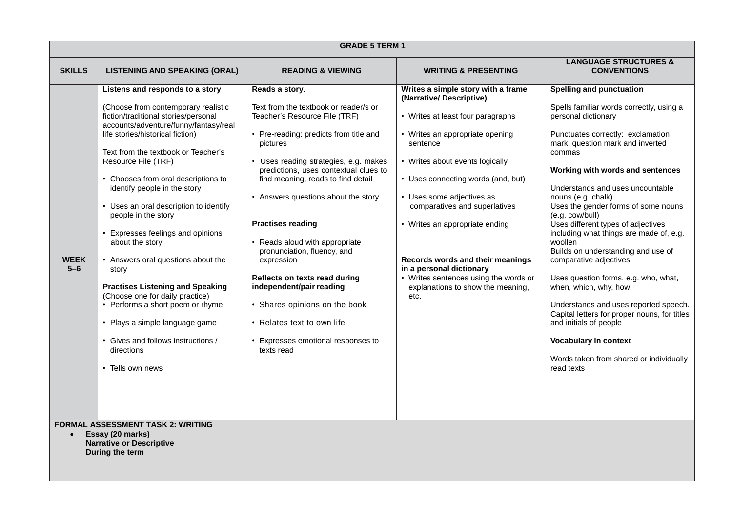| <b>GRADE 5 TERM 1</b> |                                                                                                                                                                                                                                                                                                                                                                                                                                                                                                                                                                                                                                                                                                                                      |                                                                                                                                                                                                                                                                                                                                                                                                                                                                                                                                                                                                          |                                                                                                                                                                                                                                                                                                                                                                                                                                                                                  |                                                                                                                                                                                                                                                                                                                                                                                                                                                                                                                                                                                                                                                                                                                                                                                        |  |  |
|-----------------------|--------------------------------------------------------------------------------------------------------------------------------------------------------------------------------------------------------------------------------------------------------------------------------------------------------------------------------------------------------------------------------------------------------------------------------------------------------------------------------------------------------------------------------------------------------------------------------------------------------------------------------------------------------------------------------------------------------------------------------------|----------------------------------------------------------------------------------------------------------------------------------------------------------------------------------------------------------------------------------------------------------------------------------------------------------------------------------------------------------------------------------------------------------------------------------------------------------------------------------------------------------------------------------------------------------------------------------------------------------|----------------------------------------------------------------------------------------------------------------------------------------------------------------------------------------------------------------------------------------------------------------------------------------------------------------------------------------------------------------------------------------------------------------------------------------------------------------------------------|----------------------------------------------------------------------------------------------------------------------------------------------------------------------------------------------------------------------------------------------------------------------------------------------------------------------------------------------------------------------------------------------------------------------------------------------------------------------------------------------------------------------------------------------------------------------------------------------------------------------------------------------------------------------------------------------------------------------------------------------------------------------------------------|--|--|
| <b>SKILLS</b>         | <b>LISTENING AND SPEAKING (ORAL)</b>                                                                                                                                                                                                                                                                                                                                                                                                                                                                                                                                                                                                                                                                                                 | <b>READING &amp; VIEWING</b>                                                                                                                                                                                                                                                                                                                                                                                                                                                                                                                                                                             | <b>WRITING &amp; PRESENTING</b>                                                                                                                                                                                                                                                                                                                                                                                                                                                  | <b>LANGUAGE STRUCTURES &amp;</b><br><b>CONVENTIONS</b>                                                                                                                                                                                                                                                                                                                                                                                                                                                                                                                                                                                                                                                                                                                                 |  |  |
| <b>WEEK</b><br>$5-6$  | Listens and responds to a story<br>(Choose from contemporary realistic<br>fiction/traditional stories/personal<br>accounts/adventure/funny/fantasy/real<br>life stories/historical fiction)<br>Text from the textbook or Teacher's<br>Resource File (TRF)<br>• Chooses from oral descriptions to<br>identify people in the story<br>• Uses an oral description to identify<br>people in the story<br>• Expresses feelings and opinions<br>about the story<br>• Answers oral questions about the<br>story<br><b>Practises Listening and Speaking</b><br>(Choose one for daily practice)<br>• Performs a short poem or rhyme<br>• Plays a simple language game<br>• Gives and follows instructions /<br>directions<br>• Tells own news | Reads a story.<br>Text from the textbook or reader/s or<br>Teacher's Resource File (TRF)<br>• Pre-reading: predicts from title and<br>pictures<br>• Uses reading strategies, e.g. makes<br>predictions, uses contextual clues to<br>find meaning, reads to find detail<br>• Answers questions about the story<br><b>Practises reading</b><br>• Reads aloud with appropriate<br>pronunciation, fluency, and<br>expression<br>Reflects on texts read during<br>independent/pair reading<br>• Shares opinions on the book<br>• Relates text to own life<br>• Expresses emotional responses to<br>texts read | Writes a simple story with a frame<br>(Narrative/Descriptive)<br>• Writes at least four paragraphs<br>• Writes an appropriate opening<br>sentence<br>• Writes about events logically<br>• Uses connecting words (and, but)<br>• Uses some adjectives as<br>comparatives and superlatives<br>• Writes an appropriate ending<br>Records words and their meanings<br>in a personal dictionary<br>• Writes sentences using the words or<br>explanations to show the meaning,<br>etc. | <b>Spelling and punctuation</b><br>Spells familiar words correctly, using a<br>personal dictionary<br>Punctuates correctly: exclamation<br>mark, question mark and inverted<br>commas<br>Working with words and sentences<br>Understands and uses uncountable<br>nouns (e.g. chalk)<br>Uses the gender forms of some nouns<br>(e.g. cow/bull)<br>Uses different types of adjectives<br>including what things are made of, e.g.<br>woollen<br>Builds on understanding and use of<br>comparative adjectives<br>Uses question forms, e.g. who, what,<br>when, which, why, how<br>Understands and uses reported speech.<br>Capital letters for proper nouns, for titles<br>and initials of people<br><b>Vocabulary in context</b><br>Words taken from shared or individually<br>read texts |  |  |
| $\bullet$             | <b>FORMAL ASSESSMENT TASK 2: WRITING</b><br>Essay (20 marks)<br><b>Narrative or Descriptive</b><br>During the term                                                                                                                                                                                                                                                                                                                                                                                                                                                                                                                                                                                                                   |                                                                                                                                                                                                                                                                                                                                                                                                                                                                                                                                                                                                          |                                                                                                                                                                                                                                                                                                                                                                                                                                                                                  |                                                                                                                                                                                                                                                                                                                                                                                                                                                                                                                                                                                                                                                                                                                                                                                        |  |  |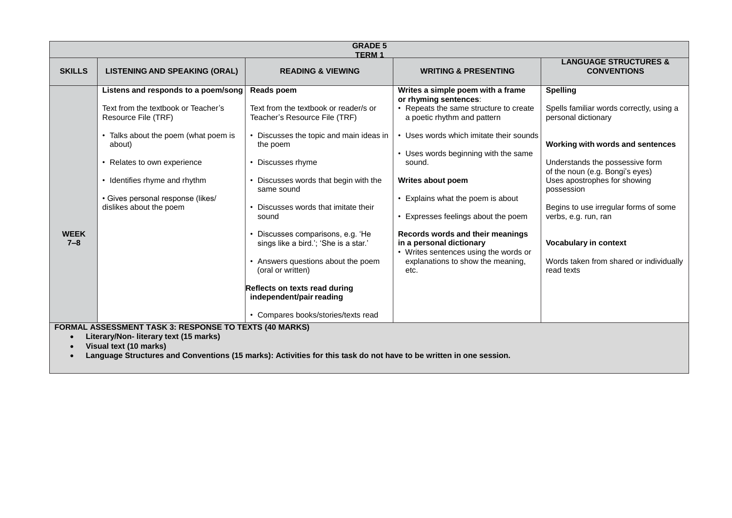| <b>GRADE 5</b><br><b>TERM1</b>                                                                                                                                                                                                                   |                                                                                                                                                                                                                                                                                   |                                                                                                                                                                                                                                                                                                                                                                                                                                                                                                                 |                                                                                                                                                                                                                                                                                                                                                                                                                                                                                         |                                                                                                                                                                                                                                                                                                                                                                                                      |  |
|--------------------------------------------------------------------------------------------------------------------------------------------------------------------------------------------------------------------------------------------------|-----------------------------------------------------------------------------------------------------------------------------------------------------------------------------------------------------------------------------------------------------------------------------------|-----------------------------------------------------------------------------------------------------------------------------------------------------------------------------------------------------------------------------------------------------------------------------------------------------------------------------------------------------------------------------------------------------------------------------------------------------------------------------------------------------------------|-----------------------------------------------------------------------------------------------------------------------------------------------------------------------------------------------------------------------------------------------------------------------------------------------------------------------------------------------------------------------------------------------------------------------------------------------------------------------------------------|------------------------------------------------------------------------------------------------------------------------------------------------------------------------------------------------------------------------------------------------------------------------------------------------------------------------------------------------------------------------------------------------------|--|
| <b>SKILLS</b>                                                                                                                                                                                                                                    | <b>LISTENING AND SPEAKING (ORAL)</b>                                                                                                                                                                                                                                              | <b>READING &amp; VIEWING</b>                                                                                                                                                                                                                                                                                                                                                                                                                                                                                    | <b>WRITING &amp; PRESENTING</b>                                                                                                                                                                                                                                                                                                                                                                                                                                                         | <b>LANGUAGE STRUCTURES &amp;</b><br><b>CONVENTIONS</b>                                                                                                                                                                                                                                                                                                                                               |  |
| <b>WEEK</b><br>$7 - 8$                                                                                                                                                                                                                           | Listens and responds to a poem/song<br>Text from the textbook or Teacher's<br>Resource File (TRF)<br>Talks about the poem (what poem is<br>about)<br>• Relates to own experience<br>• Identifies rhyme and rhythm<br>· Gives personal response (likes/<br>dislikes about the poem | Reads poem<br>Text from the textbook or reader/s or<br>Teacher's Resource File (TRF)<br>Discusses the topic and main ideas in<br>the poem<br>Discusses rhyme<br>• Discusses words that begin with the<br>same sound<br>Discusses words that imitate their<br>sound<br>• Discusses comparisons, e.g. 'He<br>sings like a bird.'; 'She is a star.'<br>• Answers questions about the poem<br>(oral or written)<br>Reflects on texts read during<br>independent/pair reading<br>• Compares books/stories/texts read | Writes a simple poem with a frame<br>or rhyming sentences:<br>• Repeats the same structure to create<br>a poetic rhythm and pattern<br>• Uses words which imitate their sounds<br>• Uses words beginning with the same<br>sound.<br>Writes about poem<br>• Explains what the poem is about<br>• Expresses feelings about the poem<br>Records words and their meanings<br>in a personal dictionary<br>• Writes sentences using the words or<br>explanations to show the meaning,<br>etc. | <b>Spelling</b><br>Spells familiar words correctly, using a<br>personal dictionary<br>Working with words and sentences<br>Understands the possessive form<br>of the noun (e.g. Bongi's eyes)<br>Uses apostrophes for showing<br>possession<br>Begins to use irregular forms of some<br>verbs, e.g. run, ran<br><b>Vocabulary in context</b><br>Words taken from shared or individually<br>read texts |  |
| FORMAL ASSESSMENT TASK 3: RESPONSE TO TEXTS (40 MARKS)<br>Literary/Non- literary text (15 marks)<br>Visual text (10 marks)<br>Language Structures and Conventions (15 marks): Activities for this task do not have to be written in one session. |                                                                                                                                                                                                                                                                                   |                                                                                                                                                                                                                                                                                                                                                                                                                                                                                                                 |                                                                                                                                                                                                                                                                                                                                                                                                                                                                                         |                                                                                                                                                                                                                                                                                                                                                                                                      |  |

**.**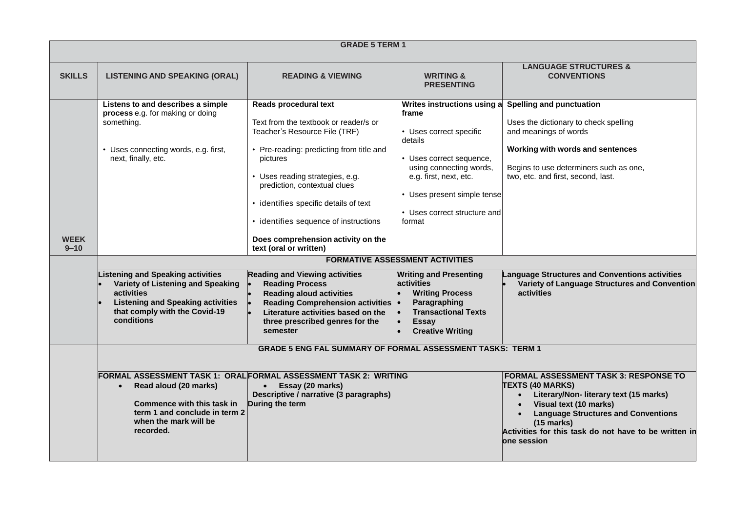|                         | <b>GRADE 5 TERM 1</b>                                                                                                                                                                                                                                                                                                                 |                                                                                                                                                                                                                                                                                                                                                                                                                                                                                                                                                                                                                           |                                                                                                                                                                                                                                                                                                                                                                                                                                                         |                                                                                                                                                                                                                                                                                                                                                      |  |
|-------------------------|---------------------------------------------------------------------------------------------------------------------------------------------------------------------------------------------------------------------------------------------------------------------------------------------------------------------------------------|---------------------------------------------------------------------------------------------------------------------------------------------------------------------------------------------------------------------------------------------------------------------------------------------------------------------------------------------------------------------------------------------------------------------------------------------------------------------------------------------------------------------------------------------------------------------------------------------------------------------------|---------------------------------------------------------------------------------------------------------------------------------------------------------------------------------------------------------------------------------------------------------------------------------------------------------------------------------------------------------------------------------------------------------------------------------------------------------|------------------------------------------------------------------------------------------------------------------------------------------------------------------------------------------------------------------------------------------------------------------------------------------------------------------------------------------------------|--|
| <b>SKILLS</b>           | <b>LISTENING AND SPEAKING (ORAL)</b>                                                                                                                                                                                                                                                                                                  | <b>READING &amp; VIEWING</b>                                                                                                                                                                                                                                                                                                                                                                                                                                                                                                                                                                                              | <b>WRITING &amp;</b><br><b>PRESENTING</b>                                                                                                                                                                                                                                                                                                                                                                                                               | <b>LANGUAGE STRUCTURES &amp;</b><br><b>CONVENTIONS</b>                                                                                                                                                                                                                                                                                               |  |
| <b>WEEK</b><br>$9 - 10$ | Listens to and describes a simple<br>process e.g. for making or doing<br>something.<br>• Uses connecting words, e.g. first,<br>next, finally, etc.<br>Listening and Speaking activities<br>Variety of Listening and Speaking<br>activities<br><b>Listening and Speaking activities</b><br>that comply with the Covid-19<br>conditions | <b>Reads procedural text</b><br>Text from the textbook or reader/s or<br>Teacher's Resource File (TRF)<br>• Pre-reading: predicting from title and<br>pictures<br>• Uses reading strategies, e.g.<br>prediction, contextual clues<br>• identifies specific details of text<br>• identifies sequence of instructions<br>Does comprehension activity on the<br>text (oral or written)<br><b>Reading and Viewing activities</b><br><b>Reading Process</b><br><b>Reading aloud activities</b><br><b>Reading Comprehension activities</b><br>Literature activities based on the<br>three prescribed genres for the<br>semester | Writes instructions using a<br>frame<br>• Uses correct specific<br>details<br>• Uses correct sequence,<br>using connecting words,<br>e.g. first, next, etc.<br>• Uses present simple tense<br>• Uses correct structure and<br>format<br><b>FORMATIVE ASSESSMENT ACTIVITIES</b><br><b>Writing and Presenting</b><br><b>activities</b><br><b>Writing Process</b><br>Paragraphing<br><b>Transactional Texts</b><br><b>Essay</b><br><b>Creative Writing</b> | <b>Spelling and punctuation</b><br>Uses the dictionary to check spelling<br>and meanings of words<br>Working with words and sentences<br>Begins to use determiners such as one,<br>two, etc. and first, second, last.<br><b>Language Structures and Conventions activities</b><br>Variety of Language Structures and Convention<br><b>activities</b> |  |
|                         | <b>GRADE 5 ENG FAL SUMMARY OF FORMAL ASSESSMENT TASKS: TERM 1</b>                                                                                                                                                                                                                                                                     |                                                                                                                                                                                                                                                                                                                                                                                                                                                                                                                                                                                                                           |                                                                                                                                                                                                                                                                                                                                                                                                                                                         |                                                                                                                                                                                                                                                                                                                                                      |  |
|                         | Read aloud (20 marks)<br>$\bullet$<br>Commence with this task in<br>term 1 and conclude in term 2<br>when the mark will be<br>recorded.                                                                                                                                                                                               | FORMAL ASSESSMENT TASK 1: ORAL FORMAL ASSESSMENT TASK 2: WRITING<br>Essay (20 marks)<br>Descriptive / narrative (3 paragraphs)<br>During the term                                                                                                                                                                                                                                                                                                                                                                                                                                                                         |                                                                                                                                                                                                                                                                                                                                                                                                                                                         | <b>FORMAL ASSESSMENT TASK 3: RESPONSE TO</b><br><b>TEXTS (40 MARKS)</b><br>Literary/Non- literary text (15 marks)<br>$\bullet$<br>Visual text (10 marks)<br><b>Language Structures and Conventions</b><br>$(15$ marks)<br>Activities for this task do not have to be written in<br><b>one session</b>                                                |  |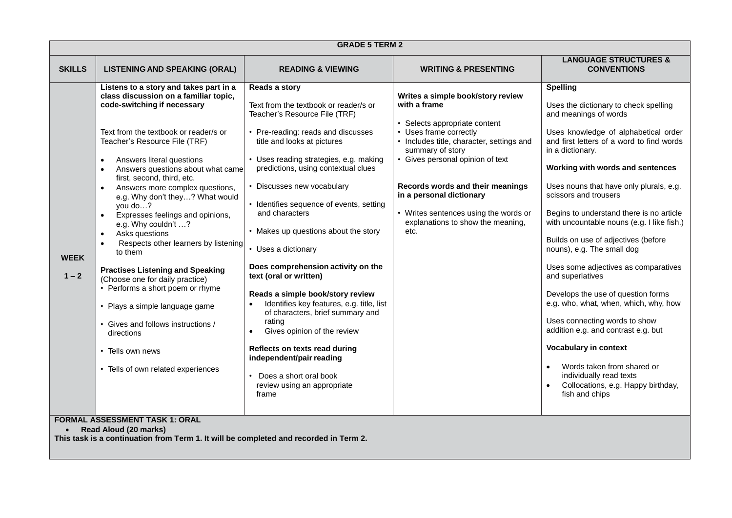|                        | <b>GRADE 5 TERM 2</b>                                                                                                                                                                                                                                                                                                                                                                                                                                                                                                                                                                                                                                                                                                                                                                                                                          |                                                                                                                                                                                                                                                                                                                                                                                                                                                                                                                                                                                                                                                                                                                                                                                    |                                                                                                                                                                                                                                                                                                                                                                         |                                                                                                                                                                                                                                                                                                                                                                                                                                                                                                                                                                                                                                                                                                                                                                                                                                                    |  |
|------------------------|------------------------------------------------------------------------------------------------------------------------------------------------------------------------------------------------------------------------------------------------------------------------------------------------------------------------------------------------------------------------------------------------------------------------------------------------------------------------------------------------------------------------------------------------------------------------------------------------------------------------------------------------------------------------------------------------------------------------------------------------------------------------------------------------------------------------------------------------|------------------------------------------------------------------------------------------------------------------------------------------------------------------------------------------------------------------------------------------------------------------------------------------------------------------------------------------------------------------------------------------------------------------------------------------------------------------------------------------------------------------------------------------------------------------------------------------------------------------------------------------------------------------------------------------------------------------------------------------------------------------------------------|-------------------------------------------------------------------------------------------------------------------------------------------------------------------------------------------------------------------------------------------------------------------------------------------------------------------------------------------------------------------------|----------------------------------------------------------------------------------------------------------------------------------------------------------------------------------------------------------------------------------------------------------------------------------------------------------------------------------------------------------------------------------------------------------------------------------------------------------------------------------------------------------------------------------------------------------------------------------------------------------------------------------------------------------------------------------------------------------------------------------------------------------------------------------------------------------------------------------------------------|--|
| <b>SKILLS</b>          | <b>LISTENING AND SPEAKING (ORAL)</b>                                                                                                                                                                                                                                                                                                                                                                                                                                                                                                                                                                                                                                                                                                                                                                                                           | <b>READING &amp; VIEWING</b>                                                                                                                                                                                                                                                                                                                                                                                                                                                                                                                                                                                                                                                                                                                                                       | <b>WRITING &amp; PRESENTING</b>                                                                                                                                                                                                                                                                                                                                         | <b>LANGUAGE STRUCTURES &amp;</b><br><b>CONVENTIONS</b>                                                                                                                                                                                                                                                                                                                                                                                                                                                                                                                                                                                                                                                                                                                                                                                             |  |
| <b>WEEK</b><br>$1 - 2$ | Listens to a story and takes part in a<br>class discussion on a familiar topic,<br>code-switching if necessary<br>Text from the textbook or reader/s or<br>Teacher's Resource File (TRF)<br>Answers literal questions<br>Answers questions about what came<br>first, second, third, etc.<br>Answers more complex questions,<br>e.g. Why don't they? What would<br>you do?<br>Expresses feelings and opinions,<br>$\bullet$<br>e.g. Why couldn't ?<br>Asks questions<br>$\bullet$<br>Respects other learners by listening<br>to them<br><b>Practises Listening and Speaking</b><br>(Choose one for daily practice)<br>• Performs a short poem or rhyme<br>• Plays a simple language game<br>• Gives and follows instructions /<br>directions<br>• Tells own news<br>• Tells of own related experiences<br><b>EQDMAL ACCECCMENT TACK 4. ODAL</b> | Reads a story<br>Text from the textbook or reader/s or<br>Teacher's Resource File (TRF)<br>• Pre-reading: reads and discusses<br>title and looks at pictures<br>• Uses reading strategies, e.g. making<br>predictions, using contextual clues<br>• Discusses new vocabulary<br>• Identifies sequence of events, setting<br>and characters<br>• Makes up questions about the story<br>• Uses a dictionary<br>Does comprehension activity on the<br>text (oral or written)<br>Reads a simple book/story review<br>Identifies key features, e.g. title, list<br>of characters, brief summary and<br>rating<br>Gives opinion of the review<br>$\bullet$<br>Reflects on texts read during<br>independent/pair reading<br>Does a short oral book<br>review using an appropriate<br>frame | Writes a simple book/story review<br>with a frame<br>• Selects appropriate content<br>• Uses frame correctly<br>• Includes title, character, settings and<br>summary of story<br>• Gives personal opinion of text<br>Records words and their meanings<br>in a personal dictionary<br>• Writes sentences using the words or<br>explanations to show the meaning,<br>etc. | <b>Spelling</b><br>Uses the dictionary to check spelling<br>and meanings of words<br>Uses knowledge of alphabetical order<br>and first letters of a word to find words<br>in a dictionary.<br>Working with words and sentences<br>Uses nouns that have only plurals, e.g.<br>scissors and trousers<br>Begins to understand there is no article<br>with uncountable nouns (e.g. I like fish.)<br>Builds on use of adjectives (before<br>nouns), e.g. The small dog<br>Uses some adjectives as comparatives<br>and superlatives<br>Develops the use of question forms<br>e.g. who, what, when, which, why, how<br>Uses connecting words to show<br>addition e.g. and contrast e.g. but<br><b>Vocabulary in context</b><br>Words taken from shared or<br>$\bullet$<br>individually read texts<br>Collocations, e.g. Happy birthday,<br>fish and chips |  |

## **FORMAL ASSESSMENT TASK 1: ORAL**

**Read Aloud (20 marks)**

**This task is a continuation from Term 1. It will be completed and recorded in Term 2.**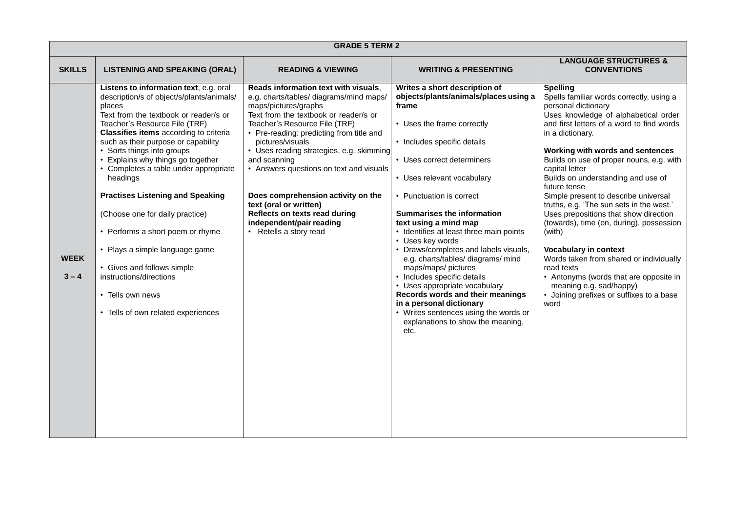|                        | <b>GRADE 5 TERM 2</b>                                                                                                                                                                                                                                                                                                                                                                                                                                                                                                                                                                                                                                   |                                                                                                                                                                                                                                                                                                                                                                                                                                                                                                                 |                                                                                                                                                                                                                                                                                                                                                                                                                                                                                                                                                                                                                                                                                               |                                                                                                                                                                                                                                                                                                                                                                                                                                                                                                                                                                                                                                                                                                                                                        |  |
|------------------------|---------------------------------------------------------------------------------------------------------------------------------------------------------------------------------------------------------------------------------------------------------------------------------------------------------------------------------------------------------------------------------------------------------------------------------------------------------------------------------------------------------------------------------------------------------------------------------------------------------------------------------------------------------|-----------------------------------------------------------------------------------------------------------------------------------------------------------------------------------------------------------------------------------------------------------------------------------------------------------------------------------------------------------------------------------------------------------------------------------------------------------------------------------------------------------------|-----------------------------------------------------------------------------------------------------------------------------------------------------------------------------------------------------------------------------------------------------------------------------------------------------------------------------------------------------------------------------------------------------------------------------------------------------------------------------------------------------------------------------------------------------------------------------------------------------------------------------------------------------------------------------------------------|--------------------------------------------------------------------------------------------------------------------------------------------------------------------------------------------------------------------------------------------------------------------------------------------------------------------------------------------------------------------------------------------------------------------------------------------------------------------------------------------------------------------------------------------------------------------------------------------------------------------------------------------------------------------------------------------------------------------------------------------------------|--|
| <b>SKILLS</b>          | <b>LISTENING AND SPEAKING (ORAL)</b>                                                                                                                                                                                                                                                                                                                                                                                                                                                                                                                                                                                                                    | <b>READING &amp; VIEWING</b>                                                                                                                                                                                                                                                                                                                                                                                                                                                                                    | <b>WRITING &amp; PRESENTING</b>                                                                                                                                                                                                                                                                                                                                                                                                                                                                                                                                                                                                                                                               | <b>LANGUAGE STRUCTURES &amp;</b><br><b>CONVENTIONS</b>                                                                                                                                                                                                                                                                                                                                                                                                                                                                                                                                                                                                                                                                                                 |  |
| <b>WEEK</b><br>$3 - 4$ | Listens to information text, e.g. oral<br>description/s of object/s/plants/animals/<br>places<br>Text from the textbook or reader/s or<br>Teacher's Resource File (TRF)<br>Classifies items according to criteria<br>such as their purpose or capability<br>• Sorts things into groups<br>• Explains why things go together<br>• Completes a table under appropriate<br>headings<br><b>Practises Listening and Speaking</b><br>(Choose one for daily practice)<br>• Performs a short poem or rhyme<br>• Plays a simple language game<br>• Gives and follows simple<br>instructions/directions<br>• Tells own news<br>• Tells of own related experiences | Reads information text with visuals,<br>e.g. charts/tables/ diagrams/mind maps/<br>maps/pictures/graphs<br>Text from the textbook or reader/s or<br>Teacher's Resource File (TRF)<br>• Pre-reading: predicting from title and<br>pictures/visuals<br>• Uses reading strategies, e.g. skimming<br>and scanning<br>• Answers questions on text and visuals<br>Does comprehension activity on the<br>text (oral or written)<br>Reflects on texts read during<br>independent/pair reading<br>• Retells a story read | Writes a short description of<br>objects/plants/animals/places using a<br>frame<br>• Uses the frame correctly<br>• Includes specific details<br>• Uses correct determiners<br>• Uses relevant vocabulary<br>• Punctuation is correct<br><b>Summarises the information</b><br>text using a mind map<br>• Identifies at least three main points<br>• Uses key words<br>• Draws/completes and labels visuals,<br>e.g. charts/tables/ diagrams/ mind<br>maps/maps/ pictures<br>• Includes specific details<br>• Uses appropriate vocabulary<br>Records words and their meanings<br>in a personal dictionary<br>• Writes sentences using the words or<br>explanations to show the meaning,<br>etc. | <b>Spelling</b><br>Spells familiar words correctly, using a<br>personal dictionary<br>Uses knowledge of alphabetical order<br>and first letters of a word to find words<br>in a dictionary.<br>Working with words and sentences<br>Builds on use of proper nouns, e.g. with<br>capital letter<br>Builds on understanding and use of<br>future tense<br>Simple present to describe universal<br>truths, e.g. 'The sun sets in the west.'<br>Uses prepositions that show direction<br>(towards), time (on, during), possession<br>(with)<br><b>Vocabulary in context</b><br>Words taken from shared or individually<br>read texts<br>• Antonyms (words that are opposite in<br>meaning e.g. sad/happy)<br>Joining prefixes or suffixes to a base<br>word |  |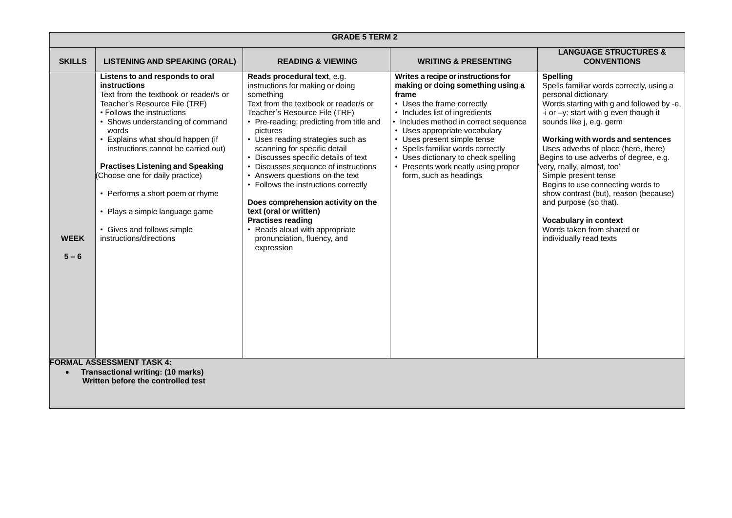| <b>GRADE 5 TERM 2</b>  |                                                                                                                                                                                                                                                                                                                                                                                                                                                                                                                                 |                                                                                                                                                                                                                                                                                                                                                                                                                                                                                                                                                                                                                           |                                                                                                                                                                                                                                                                                                                                                                                                         |                                                                                                                                                                                                                                                                                                                                                                                                                                                                                                                                                                             |  |
|------------------------|---------------------------------------------------------------------------------------------------------------------------------------------------------------------------------------------------------------------------------------------------------------------------------------------------------------------------------------------------------------------------------------------------------------------------------------------------------------------------------------------------------------------------------|---------------------------------------------------------------------------------------------------------------------------------------------------------------------------------------------------------------------------------------------------------------------------------------------------------------------------------------------------------------------------------------------------------------------------------------------------------------------------------------------------------------------------------------------------------------------------------------------------------------------------|---------------------------------------------------------------------------------------------------------------------------------------------------------------------------------------------------------------------------------------------------------------------------------------------------------------------------------------------------------------------------------------------------------|-----------------------------------------------------------------------------------------------------------------------------------------------------------------------------------------------------------------------------------------------------------------------------------------------------------------------------------------------------------------------------------------------------------------------------------------------------------------------------------------------------------------------------------------------------------------------------|--|
| <b>SKILLS</b>          | <b>LISTENING AND SPEAKING (ORAL)</b>                                                                                                                                                                                                                                                                                                                                                                                                                                                                                            | <b>READING &amp; VIEWING</b>                                                                                                                                                                                                                                                                                                                                                                                                                                                                                                                                                                                              | <b>WRITING &amp; PRESENTING</b>                                                                                                                                                                                                                                                                                                                                                                         | <b>LANGUAGE STRUCTURES &amp;</b><br><b>CONVENTIONS</b>                                                                                                                                                                                                                                                                                                                                                                                                                                                                                                                      |  |
| <b>WEEK</b><br>$5 - 6$ | Listens to and responds to oral<br>instructions<br>Text from the textbook or reader/s or<br>Teacher's Resource File (TRF)<br>• Follows the instructions<br>• Shows understanding of command<br>words<br>Explains what should happen (if<br>instructions cannot be carried out)<br><b>Practises Listening and Speaking</b><br>(Choose one for daily practice)<br>• Performs a short poem or rhyme<br>• Plays a simple language game<br>• Gives and follows simple<br>instructions/directions<br><b>FORMAL ASSESSMENT TASK 4:</b> | Reads procedural text, e.g.<br>instructions for making or doing<br>something<br>Text from the textbook or reader/s or<br>Teacher's Resource File (TRF)<br>• Pre-reading: predicting from title and<br>pictures<br>• Uses reading strategies such as<br>scanning for specific detail<br>• Discusses specific details of text<br>• Discusses sequence of instructions<br>• Answers questions on the text<br>• Follows the instructions correctly<br>Does comprehension activity on the<br>text (oral or written)<br><b>Practises reading</b><br>• Reads aloud with appropriate<br>pronunciation, fluency, and<br>expression | Writes a recipe or instructions for<br>making or doing something using a<br>frame<br>• Uses the frame correctly<br>• Includes list of ingredients<br>• Includes method in correct sequence<br>• Uses appropriate vocabulary<br>• Uses present simple tense<br>• Spells familiar words correctly<br>• Uses dictionary to check spelling<br>• Presents work neatly using proper<br>form, such as headings | <b>Spelling</b><br>Spells familiar words correctly, using a<br>personal dictionary<br>Words starting with g and followed by -e,<br>-i or $-y$ : start with g even though it<br>sounds like j, e.g. germ<br>Working with words and sentences<br>Uses adverbs of place (here, there)<br>Begins to use adverbs of degree, e.g.<br>very, really, almost, too'<br>Simple present tense<br>Begins to use connecting words to<br>show contrast (but), reason (because)<br>and purpose (so that).<br>Vocabulary in context<br>Words taken from shared or<br>individually read texts |  |
|                        | <b>Transactional writing: (10 marks)</b><br>Written before the controlled test                                                                                                                                                                                                                                                                                                                                                                                                                                                  |                                                                                                                                                                                                                                                                                                                                                                                                                                                                                                                                                                                                                           |                                                                                                                                                                                                                                                                                                                                                                                                         |                                                                                                                                                                                                                                                                                                                                                                                                                                                                                                                                                                             |  |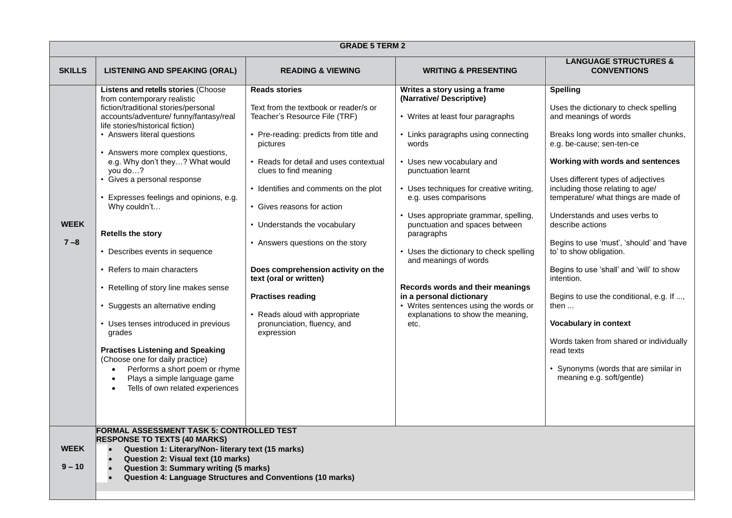| <b>GRADE 5 TERM 2</b>   |                                                                                                                                                                                                                                                                                                                                                                                                                                                                                                                                                                                                                                                                                                                                                                                                                                   |                                                                                                                                                                                                                                                                                                                                                                                                                                                                                                                                               |                                                                                                                                                                                                                                                                                                                                                                                                                                                                                                                                                                                        |                                                                                                                                                                                                                                                                                                                                                                                                                                                                                                                                                                                                                                                                                                                          |
|-------------------------|-----------------------------------------------------------------------------------------------------------------------------------------------------------------------------------------------------------------------------------------------------------------------------------------------------------------------------------------------------------------------------------------------------------------------------------------------------------------------------------------------------------------------------------------------------------------------------------------------------------------------------------------------------------------------------------------------------------------------------------------------------------------------------------------------------------------------------------|-----------------------------------------------------------------------------------------------------------------------------------------------------------------------------------------------------------------------------------------------------------------------------------------------------------------------------------------------------------------------------------------------------------------------------------------------------------------------------------------------------------------------------------------------|----------------------------------------------------------------------------------------------------------------------------------------------------------------------------------------------------------------------------------------------------------------------------------------------------------------------------------------------------------------------------------------------------------------------------------------------------------------------------------------------------------------------------------------------------------------------------------------|--------------------------------------------------------------------------------------------------------------------------------------------------------------------------------------------------------------------------------------------------------------------------------------------------------------------------------------------------------------------------------------------------------------------------------------------------------------------------------------------------------------------------------------------------------------------------------------------------------------------------------------------------------------------------------------------------------------------------|
| <b>SKILLS</b>           | <b>LISTENING AND SPEAKING (ORAL)</b>                                                                                                                                                                                                                                                                                                                                                                                                                                                                                                                                                                                                                                                                                                                                                                                              | <b>READING &amp; VIEWING</b>                                                                                                                                                                                                                                                                                                                                                                                                                                                                                                                  | <b>WRITING &amp; PRESENTING</b>                                                                                                                                                                                                                                                                                                                                                                                                                                                                                                                                                        | <b>LANGUAGE STRUCTURES &amp;</b><br><b>CONVENTIONS</b>                                                                                                                                                                                                                                                                                                                                                                                                                                                                                                                                                                                                                                                                   |
| <b>WEEK</b><br>$7 - 8$  | Listens and retells stories (Choose<br>from contemporary realistic<br>fiction/traditional stories/personal<br>accounts/adventure/ funny/fantasy/real<br>life stories/historical fiction)<br>• Answers literal questions<br>• Answers more complex questions,<br>e.g. Why don't they? What would<br>you do?<br>• Gives a personal response<br>• Expresses feelings and opinions, e.g.<br>Why couldn't<br><b>Retells the story</b><br>• Describes events in sequence<br>• Refers to main characters<br>• Retelling of story line makes sense<br>• Suggests an alternative ending<br>• Uses tenses introduced in previous<br>grades<br><b>Practises Listening and Speaking</b><br>(Choose one for daily practice)<br>Performs a short poem or rhyme<br>$\bullet$<br>Plays a simple language game<br>Tells of own related experiences | <b>Reads stories</b><br>Text from the textbook or reader/s or<br>Teacher's Resource File (TRF)<br>• Pre-reading: predicts from title and<br>pictures<br>• Reads for detail and uses contextual<br>clues to find meaning<br>• Identifies and comments on the plot<br>• Gives reasons for action<br>• Understands the vocabulary<br>• Answers questions on the story<br>Does comprehension activity on the<br>text (oral or written)<br><b>Practises reading</b><br>• Reads aloud with appropriate<br>pronunciation, fluency, and<br>expression | Writes a story using a frame<br>(Narrative/Descriptive)<br>• Writes at least four paragraphs<br>• Links paragraphs using connecting<br>words<br>• Uses new vocabulary and<br>punctuation learnt<br>• Uses techniques for creative writing,<br>e.g. uses comparisons<br>• Uses appropriate grammar, spelling,<br>punctuation and spaces between<br>paragraphs<br>• Uses the dictionary to check spelling<br>and meanings of words<br>Records words and their meanings<br>in a personal dictionary<br>• Writes sentences using the words or<br>explanations to show the meaning,<br>etc. | <b>Spelling</b><br>Uses the dictionary to check spelling<br>and meanings of words<br>Breaks long words into smaller chunks,<br>e.g. be-cause; sen-ten-ce<br>Working with words and sentences<br>Uses different types of adjectives<br>including those relating to age/<br>temperature/ what things are made of<br>Understands and uses verbs to<br>describe actions<br>Begins to use 'must', 'should' and 'have<br>to' to show obligation.<br>Begins to use 'shall' and 'will' to show<br>intention.<br>Begins to use the conditional, e.g. If ,<br>then $\dots$<br>Vocabulary in context<br>Words taken from shared or individually<br>read texts<br>• Synonyms (words that are similar in<br>meaning e.g. soft/gentle) |
| <b>WEEK</b><br>$9 - 10$ | <b>FORMAL ASSESSMENT TASK 5: CONTROLLED TEST</b><br><b>RESPONSE TO TEXTS (40 MARKS)</b><br>Question 1: Literary/Non- literary text (15 marks)<br>Question 2: Visual text (10 marks)<br><b>Question 3: Summary writing (5 marks)</b><br><b>Question 4: Language Structures and Conventions (10 marks)</b>                                                                                                                                                                                                                                                                                                                                                                                                                                                                                                                          |                                                                                                                                                                                                                                                                                                                                                                                                                                                                                                                                               |                                                                                                                                                                                                                                                                                                                                                                                                                                                                                                                                                                                        |                                                                                                                                                                                                                                                                                                                                                                                                                                                                                                                                                                                                                                                                                                                          |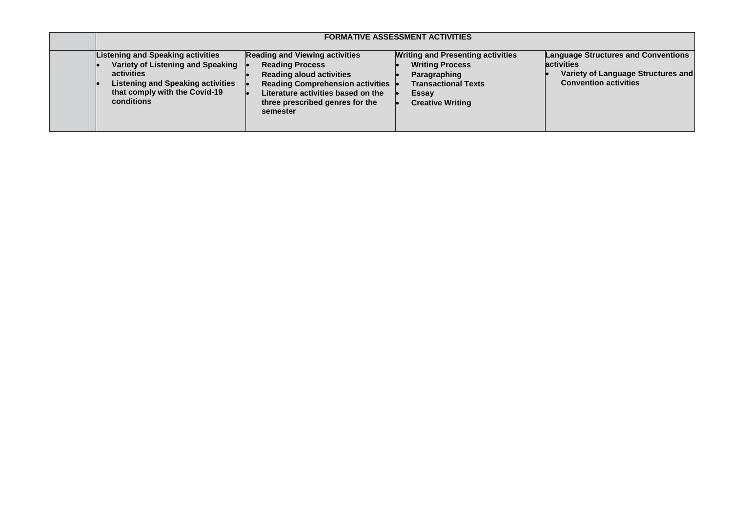| <b>FORMATIVE ASSESSMENT ACTIVITIES</b>                                                                                                                                          |                                                                                                                                                                                                                             |                                                                                                                                                      |                                                                                                                                       |
|---------------------------------------------------------------------------------------------------------------------------------------------------------------------------------|-----------------------------------------------------------------------------------------------------------------------------------------------------------------------------------------------------------------------------|------------------------------------------------------------------------------------------------------------------------------------------------------|---------------------------------------------------------------------------------------------------------------------------------------|
| Listening and Speaking activities<br>Variety of Listening and Speaking<br>activities<br><b>Listening and Speaking activities</b><br>that comply with the Covid-19<br>conditions | <b>Reading and Viewing activities</b><br><b>Reading Process</b><br><b>Reading aloud activities</b><br>Reading Comprehension activities<br>Literature activities based on the<br>three prescribed genres for the<br>semester | <b>Writing and Presenting activities</b><br><b>Writing Process</b><br>Paragraphing<br><b>Transactional Texts</b><br>Essay<br><b>Creative Writing</b> | <b>Language Structures and Conventions</b><br><b>activities</b><br>Variety of Language Structures and<br><b>Convention activities</b> |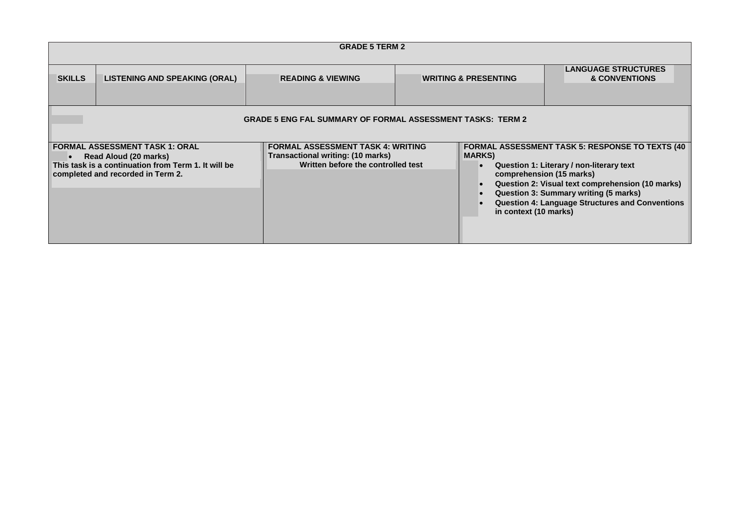| <b>GRADE 5 TERM 2</b>                                                                                                                                                   |                                      |                                                                                                                     |                                         |                                                                                                                                                                                                                                                                                        |  |
|-------------------------------------------------------------------------------------------------------------------------------------------------------------------------|--------------------------------------|---------------------------------------------------------------------------------------------------------------------|-----------------------------------------|----------------------------------------------------------------------------------------------------------------------------------------------------------------------------------------------------------------------------------------------------------------------------------------|--|
| <b>SKILLS</b>                                                                                                                                                           | <b>LISTENING AND SPEAKING (ORAL)</b> | <b>READING &amp; VIEWING</b>                                                                                        | <b>WRITING &amp; PRESENTING</b>         | <b>LANGUAGE STRUCTURES</b><br><b>&amp; CONVENTIONS</b>                                                                                                                                                                                                                                 |  |
| <b>GRADE 5 ENG FAL SUMMARY OF FORMAL ASSESSMENT TASKS: TERM 2</b>                                                                                                       |                                      |                                                                                                                     |                                         |                                                                                                                                                                                                                                                                                        |  |
| <b>FORMAL ASSESSMENT TASK 1: ORAL</b><br>Read Aloud (20 marks)<br>$\bullet$<br>This task is a continuation from Term 1. It will be<br>completed and recorded in Term 2. |                                      | <b>FORMAL ASSESSMENT TASK 4: WRITING</b><br>Transactional writing: (10 marks)<br>Written before the controlled test | <b>MARKS</b> )<br>in context (10 marks) | <b>FORMAL ASSESSMENT TASK 5: RESPONSE TO TEXTS (40)</b><br>Question 1: Literary / non-literary text<br>comprehension (15 marks)<br>Question 2: Visual text comprehension (10 marks)<br>Question 3: Summary writing (5 marks)<br><b>Question 4: Language Structures and Conventions</b> |  |
|                                                                                                                                                                         |                                      |                                                                                                                     |                                         |                                                                                                                                                                                                                                                                                        |  |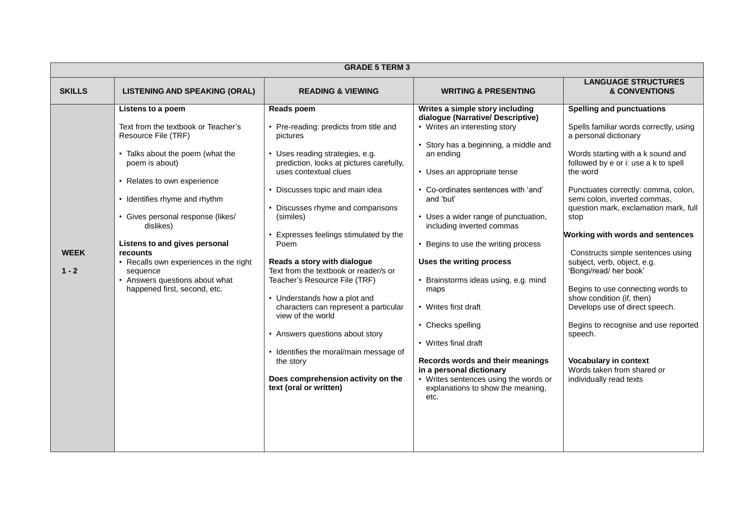| <b>LANGUAGE STRUCTURES</b><br><b>SKILLS</b><br><b>LISTENING AND SPEAKING (ORAL)</b><br><b>&amp; CONVENTIONS</b><br><b>READING &amp; VIEWING</b><br><b>WRITING &amp; PRESENTING</b><br>Reads poem<br>Writes a simple story including<br><b>Spelling and punctuations</b><br>Listens to a poem                                                                                                                                                                                                                                                                                                                                                                                                                                                                                                                                                                                                                                                                                                                                                                                                                                                                                                                                                                                                                                                                                                                                                                                                                                                                                                                                                                                                                                                                                                                                                                                                                                                                                                                                                                                                                                                                                                                                                                                                                                      | <b>GRADE 5 TERM 3</b> |  |  |                                  |                                      |
|-----------------------------------------------------------------------------------------------------------------------------------------------------------------------------------------------------------------------------------------------------------------------------------------------------------------------------------------------------------------------------------------------------------------------------------------------------------------------------------------------------------------------------------------------------------------------------------------------------------------------------------------------------------------------------------------------------------------------------------------------------------------------------------------------------------------------------------------------------------------------------------------------------------------------------------------------------------------------------------------------------------------------------------------------------------------------------------------------------------------------------------------------------------------------------------------------------------------------------------------------------------------------------------------------------------------------------------------------------------------------------------------------------------------------------------------------------------------------------------------------------------------------------------------------------------------------------------------------------------------------------------------------------------------------------------------------------------------------------------------------------------------------------------------------------------------------------------------------------------------------------------------------------------------------------------------------------------------------------------------------------------------------------------------------------------------------------------------------------------------------------------------------------------------------------------------------------------------------------------------------------------------------------------------------------------------------------------|-----------------------|--|--|----------------------------------|--------------------------------------|
|                                                                                                                                                                                                                                                                                                                                                                                                                                                                                                                                                                                                                                                                                                                                                                                                                                                                                                                                                                                                                                                                                                                                                                                                                                                                                                                                                                                                                                                                                                                                                                                                                                                                                                                                                                                                                                                                                                                                                                                                                                                                                                                                                                                                                                                                                                                                   |                       |  |  |                                  |                                      |
| • Pre-reading: predicts from title and<br>• Writes an interesting story<br>Text from the textbook or Teacher's<br>Spells familiar words correctly, using<br>Resource File (TRF)<br>a personal dictionary<br>pictures<br>• Story has a beginning, a middle and<br>Words starting with a k sound and<br>• Talks about the poem (what the<br>Uses reading strategies, e.g.<br>an ending<br>poem is about)<br>prediction, looks at pictures carefully,<br>followed by e or i: use a k to spell<br>uses contextual clues<br>• Uses an appropriate tense<br>the word<br>• Relates to own experience<br>• Co-ordinates sentences with 'and'<br>Discusses topic and main idea<br>Punctuates correctly: comma, colon,<br>• Identifies rhyme and rhythm<br>and 'but'<br>semi colon, inverted commas,<br>Discusses rhyme and comparisons<br>question mark, exclamation mark, full<br>· Gives personal response (likes/<br>• Uses a wider range of punctuation,<br>(similes)<br>stop<br>including inverted commas<br>dislikes)<br>Working with words and sentences<br>Expresses feelings stimulated by the<br>Listens to and gives personal<br>Poem<br>• Begins to use the writing process<br><b>WEEK</b><br><b>recounts</b><br>Constructs simple sentences using<br>Reads a story with dialogue<br>Uses the writing process<br>• Recalls own experiences in the right<br>subject, verb, object, e.g.<br>Text from the textbook or reader/s or<br>$1 - 2$<br>'Bongi/read/ her book'<br>sequence<br>• Answers questions about what<br>Teacher's Resource File (TRF)<br>• Brainstorms ideas using, e.g. mind<br>happened first, second, etc.<br>Begins to use connecting words to<br>maps<br>show condition (if, then)<br>• Understands how a plot and<br>• Writes first draft<br>characters can represent a particular<br>Develops use of direct speech.<br>view of the world<br>• Checks spelling<br>• Answers questions about story<br>speech.<br>• Writes final draft<br>• Identifies the moral/main message of<br>Records words and their meanings<br><b>Vocabulary in context</b><br>the story<br>Words taken from shared or<br>in a personal dictionary<br>Does comprehension activity on the<br>• Writes sentences using the words or<br>individually read texts<br>text (oral or written)<br>explanations to show the meaning,<br>etc. |                       |  |  | dialogue (Narrative/Descriptive) | Begins to recognise and use reported |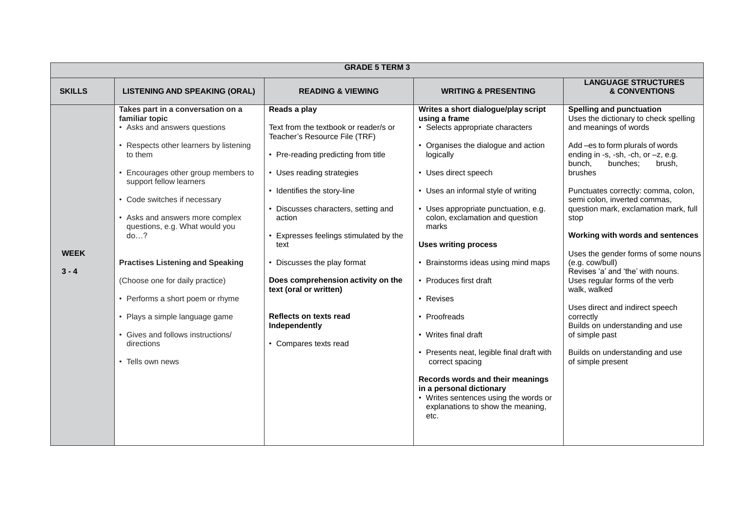| <b>GRADE 5 TERM 3</b>  |                                                                                                                                                                                                                                                                                                                                                                                                                                                                                                                                                 |                                                                                                                                                                                                                                                                                                                                                                                                                                                               |                                                                                                                                                                                                                                                                                                                                                                                                                                                                                                                                                                                                                                                                        |                                                                                                                                                                                                                                                                                                                                                                                                                                                                                                                                                                                                                                                                                                      |  |
|------------------------|-------------------------------------------------------------------------------------------------------------------------------------------------------------------------------------------------------------------------------------------------------------------------------------------------------------------------------------------------------------------------------------------------------------------------------------------------------------------------------------------------------------------------------------------------|---------------------------------------------------------------------------------------------------------------------------------------------------------------------------------------------------------------------------------------------------------------------------------------------------------------------------------------------------------------------------------------------------------------------------------------------------------------|------------------------------------------------------------------------------------------------------------------------------------------------------------------------------------------------------------------------------------------------------------------------------------------------------------------------------------------------------------------------------------------------------------------------------------------------------------------------------------------------------------------------------------------------------------------------------------------------------------------------------------------------------------------------|------------------------------------------------------------------------------------------------------------------------------------------------------------------------------------------------------------------------------------------------------------------------------------------------------------------------------------------------------------------------------------------------------------------------------------------------------------------------------------------------------------------------------------------------------------------------------------------------------------------------------------------------------------------------------------------------------|--|
| <b>SKILLS</b>          | <b>LISTENING AND SPEAKING (ORAL)</b>                                                                                                                                                                                                                                                                                                                                                                                                                                                                                                            | <b>READING &amp; VIEWING</b>                                                                                                                                                                                                                                                                                                                                                                                                                                  | <b>WRITING &amp; PRESENTING</b>                                                                                                                                                                                                                                                                                                                                                                                                                                                                                                                                                                                                                                        | <b>LANGUAGE STRUCTURES</b><br><b>&amp; CONVENTIONS</b>                                                                                                                                                                                                                                                                                                                                                                                                                                                                                                                                                                                                                                               |  |
| <b>WEEK</b><br>$3 - 4$ | Takes part in a conversation on a<br>familiar topic<br>• Asks and answers questions<br>• Respects other learners by listening<br>to them<br>Encourages other group members to<br>support fellow learners<br>• Code switches if necessary<br>• Asks and answers more complex<br>questions, e.g. What would you<br>do?<br><b>Practises Listening and Speaking</b><br>(Choose one for daily practice)<br>• Performs a short poem or rhyme<br>• Plays a simple language game<br>• Gives and follows instructions/<br>directions<br>• Tells own news | Reads a play<br>Text from the textbook or reader/s or<br>Teacher's Resource File (TRF)<br>• Pre-reading predicting from title<br>• Uses reading strategies<br>• Identifies the story-line<br>• Discusses characters, setting and<br>action<br>Expresses feelings stimulated by the<br>text<br>• Discusses the play format<br>Does comprehension activity on the<br>text (oral or written)<br>Reflects on texts read<br>Independently<br>• Compares texts read | Writes a short dialogue/play script<br>using a frame<br>Selects appropriate characters<br>• Organises the dialogue and action<br>logically<br>• Uses direct speech<br>• Uses an informal style of writing<br>• Uses appropriate punctuation, e.g.<br>colon, exclamation and question<br>marks<br><b>Uses writing process</b><br>Brainstorms ideas using mind maps<br>• Produces first draft<br>• Revises<br>• Proofreads<br>• Writes final draft<br>• Presents neat, legible final draft with<br>correct spacing<br>Records words and their meanings<br>in a personal dictionary<br>• Writes sentences using the words or<br>explanations to show the meaning,<br>etc. | <b>Spelling and punctuation</b><br>Uses the dictionary to check spelling<br>and meanings of words<br>Add -es to form plurals of words<br>ending in -s, -sh, -ch, or $-z$ , e.g.<br>bunches;<br>bunch,<br>brush,<br>brushes<br>Punctuates correctly: comma, colon,<br>semi colon, inverted commas,<br>question mark, exclamation mark, full<br>stop<br>Working with words and sentences<br>Uses the gender forms of some nouns<br>(e.g. cow/bull)<br>Revises 'a' and 'the' with nouns.<br>Uses regular forms of the verb<br>walk, walked<br>Uses direct and indirect speech<br>correctly<br>Builds on understanding and use<br>of simple past<br>Builds on understanding and use<br>of simple present |  |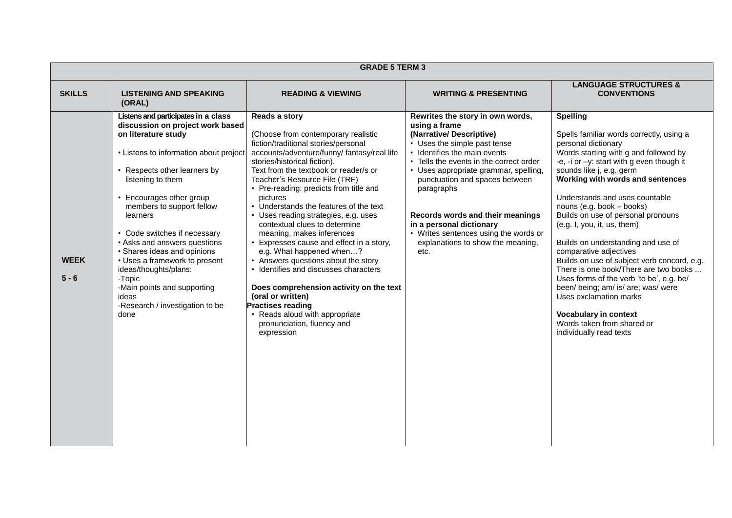| <b>GRADE 5 TERM 3</b>  |                                                                                                                                                                                                                                                                                                                                                                                                                                                                                                                          |                                                                                                                                                                                                                                                                                                                                                                                                                                                                                                                                                                                                                                                                                                                                                                                               |                                                                                                                                                                                                                                                                                                                                                                                                                                        |                                                                                                                                                                                                                                                                                                                                                                                                                                                                                                                                                                                                                                                                                                                                               |  |  |
|------------------------|--------------------------------------------------------------------------------------------------------------------------------------------------------------------------------------------------------------------------------------------------------------------------------------------------------------------------------------------------------------------------------------------------------------------------------------------------------------------------------------------------------------------------|-----------------------------------------------------------------------------------------------------------------------------------------------------------------------------------------------------------------------------------------------------------------------------------------------------------------------------------------------------------------------------------------------------------------------------------------------------------------------------------------------------------------------------------------------------------------------------------------------------------------------------------------------------------------------------------------------------------------------------------------------------------------------------------------------|----------------------------------------------------------------------------------------------------------------------------------------------------------------------------------------------------------------------------------------------------------------------------------------------------------------------------------------------------------------------------------------------------------------------------------------|-----------------------------------------------------------------------------------------------------------------------------------------------------------------------------------------------------------------------------------------------------------------------------------------------------------------------------------------------------------------------------------------------------------------------------------------------------------------------------------------------------------------------------------------------------------------------------------------------------------------------------------------------------------------------------------------------------------------------------------------------|--|--|
| <b>SKILLS</b>          | <b>LISTENING AND SPEAKING</b><br>(ORAL)                                                                                                                                                                                                                                                                                                                                                                                                                                                                                  | <b>READING &amp; VIEWING</b>                                                                                                                                                                                                                                                                                                                                                                                                                                                                                                                                                                                                                                                                                                                                                                  | <b>WRITING &amp; PRESENTING</b>                                                                                                                                                                                                                                                                                                                                                                                                        | <b>LANGUAGE STRUCTURES &amp;</b><br><b>CONVENTIONS</b>                                                                                                                                                                                                                                                                                                                                                                                                                                                                                                                                                                                                                                                                                        |  |  |
| <b>WEEK</b><br>$5 - 6$ | Listens and participates in a class<br>discussion on project work based<br>on literature study<br>• Listens to information about project<br>• Respects other learners by<br>listening to them<br>• Encourages other group<br>members to support fellow<br>learners<br>• Code switches if necessary<br>• Asks and answers questions<br>• Shares ideas and opinions<br>• Uses a framework to present<br>ideas/thoughts/plans:<br>-Topic<br>-Main points and supporting<br>ideas<br>-Research / investigation to be<br>done | Reads a story<br>(Choose from contemporary realistic<br>fiction/traditional stories/personal<br>accounts/adventure/funny/ fantasy/real life<br>stories/historical fiction).<br>Text from the textbook or reader/s or<br>Teacher's Resource File (TRF)<br>• Pre-reading: predicts from title and<br>pictures<br>• Understands the features of the text<br>• Uses reading strategies, e.g. uses<br>contextual clues to determine<br>meaning, makes inferences<br>• Expresses cause and effect in a story,<br>e.g. What happened when?<br>• Answers questions about the story<br>· Identifies and discusses characters<br>Does comprehension activity on the text<br>(oral or written)<br><b>Practises reading</b><br>• Reads aloud with appropriate<br>pronunciation, fluency and<br>expression | Rewrites the story in own words,<br>using a frame<br>(Narrative/Descriptive)<br>• Uses the simple past tense<br>• Identifies the main events<br>• Tells the events in the correct order<br>• Uses appropriate grammar, spelling,<br>punctuation and spaces between<br>paragraphs<br>Records words and their meanings<br>in a personal dictionary<br>• Writes sentences using the words or<br>explanations to show the meaning,<br>etc. | <b>Spelling</b><br>Spells familiar words correctly, using a<br>personal dictionary<br>Words starting with g and followed by<br>-e, -i or $-y$ : start with g even though it<br>sounds like j, e.g. germ<br>Working with words and sentences<br>Understands and uses countable<br>nouns (e.g. book - books)<br>Builds on use of personal pronouns<br>(e.g. I, you, it, us, them)<br>Builds on understanding and use of<br>comparative adjectives<br>Builds on use of subject verb concord, e.g.<br>There is one book/There are two books<br>Uses forms of the verb 'to be', e.g. be/<br>been/ being; am/ is/ are; was/ were<br>Uses exclamation marks<br><b>Vocabulary in context</b><br>Words taken from shared or<br>individually read texts |  |  |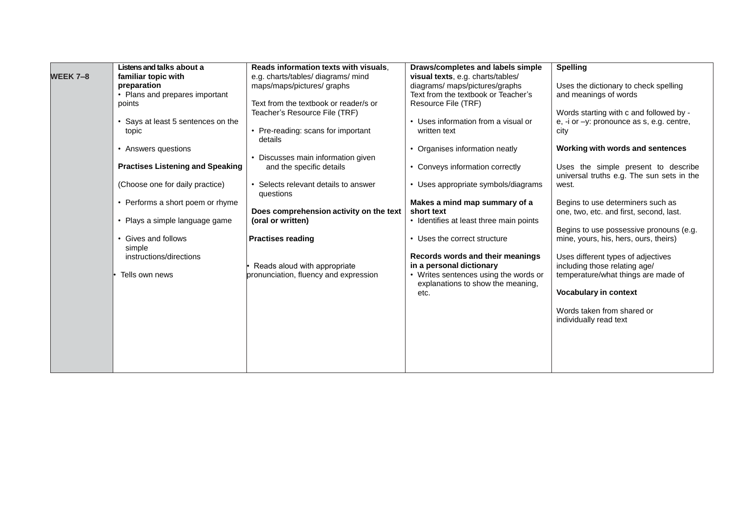|                 | Listens and talks about a               | Reads information texts with visuals,   | Draws/completes and labels simple       | <b>Spelling</b>                           |
|-----------------|-----------------------------------------|-----------------------------------------|-----------------------------------------|-------------------------------------------|
|                 |                                         |                                         |                                         |                                           |
| <b>WEEK 7-8</b> | familiar topic with                     | e.g. charts/tables/ diagrams/ mind      | visual texts, e.g. charts/tables/       |                                           |
|                 | preparation                             | maps/maps/pictures/graphs               | diagrams/ maps/pictures/graphs          | Uses the dictionary to check spelling     |
|                 | • Plans and prepares important          |                                         | Text from the textbook or Teacher's     | and meanings of words                     |
|                 | points                                  | Text from the textbook or reader/s or   | Resource File (TRF)                     |                                           |
|                 |                                         | Teacher's Resource File (TRF)           |                                         | Words starting with c and followed by -   |
|                 | • Says at least 5 sentences on the      |                                         | • Uses information from a visual or     | e, -i or -y: pronounce as s, e.g. centre, |
|                 | topic                                   | • Pre-reading: scans for important      | written text                            | city                                      |
|                 |                                         | details                                 |                                         |                                           |
|                 | • Answers questions                     |                                         | • Organises information neatly          | Working with words and sentences          |
|                 |                                         | • Discusses main information given      |                                         |                                           |
|                 | <b>Practises Listening and Speaking</b> | and the specific details                | • Conveys information correctly         | Uses the simple present to describe       |
|                 |                                         |                                         |                                         | universal truths e.g. The sun sets in the |
|                 |                                         | • Selects relevant details to answer    | • Uses appropriate symbols/diagrams     |                                           |
|                 | (Choose one for daily practice)         |                                         |                                         | west.                                     |
|                 |                                         | questions                               |                                         |                                           |
|                 | • Performs a short poem or rhyme        |                                         | Makes a mind map summary of a           | Begins to use determiners such as         |
|                 |                                         | Does comprehension activity on the text | short text                              | one, two, etc. and first, second, last.   |
|                 | • Plays a simple language game          | (oral or written)                       | • Identifies at least three main points |                                           |
|                 |                                         |                                         |                                         | Begins to use possessive pronouns (e.g.   |
|                 | • Gives and follows                     | <b>Practises reading</b>                | • Uses the correct structure            | mine, yours, his, hers, ours, theirs)     |
|                 | simple                                  |                                         |                                         |                                           |
|                 | instructions/directions                 |                                         | Records words and their meanings        | Uses different types of adjectives        |
|                 |                                         | Reads aloud with appropriate            | in a personal dictionary                | including those relating age/             |
|                 | Tells own news                          | pronunciation, fluency and expression   | • Writes sentences using the words or   | temperature/what things are made of       |
|                 |                                         |                                         | explanations to show the meaning,       |                                           |
|                 |                                         |                                         | etc.                                    | <b>Vocabulary in context</b>              |
|                 |                                         |                                         |                                         |                                           |
|                 |                                         |                                         |                                         | Words taken from shared or                |
|                 |                                         |                                         |                                         |                                           |
|                 |                                         |                                         |                                         | individually read text                    |
|                 |                                         |                                         |                                         |                                           |
|                 |                                         |                                         |                                         |                                           |
|                 |                                         |                                         |                                         |                                           |
|                 |                                         |                                         |                                         |                                           |
|                 |                                         |                                         |                                         |                                           |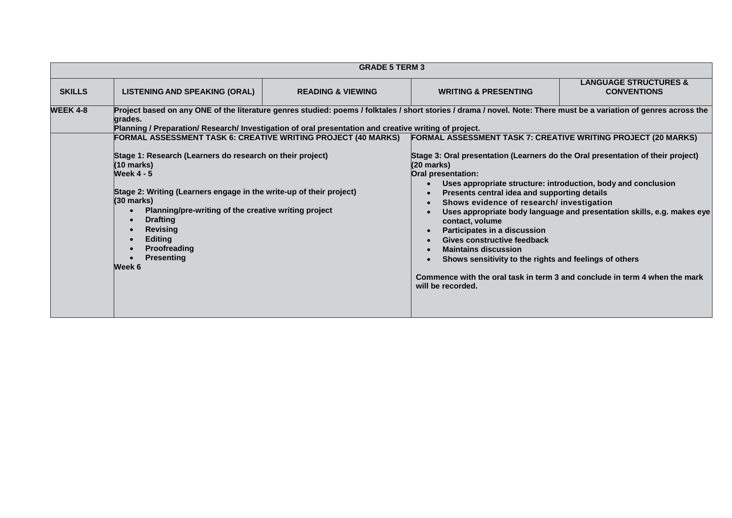|                 |                                                                                                                                                                                                                                                                                                                                                                                                                                          | <b>GRADE 5 TERM 3</b>        |                                                                                                                                                                                                                                                                                                                                                                                                                                                                                                                                                                                     |                                                                                                                                                                                                                       |  |  |
|-----------------|------------------------------------------------------------------------------------------------------------------------------------------------------------------------------------------------------------------------------------------------------------------------------------------------------------------------------------------------------------------------------------------------------------------------------------------|------------------------------|-------------------------------------------------------------------------------------------------------------------------------------------------------------------------------------------------------------------------------------------------------------------------------------------------------------------------------------------------------------------------------------------------------------------------------------------------------------------------------------------------------------------------------------------------------------------------------------|-----------------------------------------------------------------------------------------------------------------------------------------------------------------------------------------------------------------------|--|--|
| <b>SKILLS</b>   | <b>LISTENING AND SPEAKING (ORAL)</b>                                                                                                                                                                                                                                                                                                                                                                                                     | <b>READING &amp; VIEWING</b> | <b>WRITING &amp; PRESENTING</b>                                                                                                                                                                                                                                                                                                                                                                                                                                                                                                                                                     | <b>LANGUAGE STRUCTURES &amp;</b><br><b>CONVENTIONS</b>                                                                                                                                                                |  |  |
| <b>WEEK 4-8</b> | Project based on any ONE of the literature genres studied: poems / folktales / short stories / drama / novel. Note: There must be a variation of genres across the<br>grades.<br>Planning / Preparation/ Research/ Investigation of oral presentation and creative writing of project.                                                                                                                                                   |                              |                                                                                                                                                                                                                                                                                                                                                                                                                                                                                                                                                                                     |                                                                                                                                                                                                                       |  |  |
|                 | FORMAL ASSESSMENT TASK 6: CREATIVE WRITING PROJECT (40 MARKS)<br>Stage 1: Research (Learners do research on their project)<br>(10 marks)<br><b>Week 4 - 5</b><br>Stage 2: Writing (Learners engage in the write-up of their project)<br>$(30 \text{ marks})$<br>Planning/pre-writing of the creative writing project<br>$\bullet$<br><b>Drafting</b><br><b>Revising</b><br><b>Editing</b><br>Proofreading<br><b>Presenting</b><br>Week 6 |                              | <b>FORMAL ASSESSMENT TASK 7: CREATIVE WRITING PROJECT (20 MARKS)</b><br>Stage 3: Oral presentation (Learners do the Oral presentation of their project)<br>(20 marks)<br>Oral presentation:<br>$\bullet$<br>Presents central idea and supporting details<br>$\bullet$<br>Shows evidence of research/ investigation<br>$\bullet$<br>$\bullet$<br>contact, volume<br>Participates in a discussion<br>$\bullet$<br>Gives constructive feedback<br>$\bullet$<br><b>Maintains discussion</b><br>$\bullet$<br>Shows sensitivity to the rights and feelings of others<br>will be recorded. | Uses appropriate structure: introduction, body and conclusion<br>Uses appropriate body language and presentation skills, e.g. makes eye<br>Commence with the oral task in term 3 and conclude in term 4 when the mark |  |  |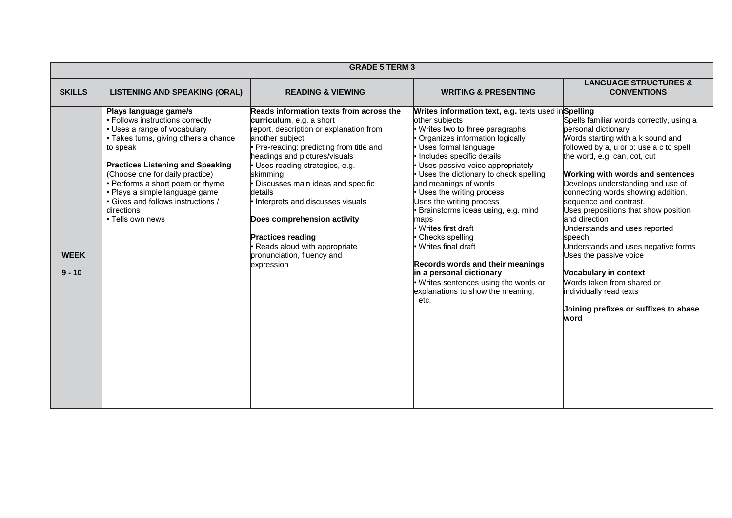|                         | <b>GRADE 5 TERM 3</b>                                                                                                                                                                                                                                                                                                                                                      |                                                                                                                                                                                                                                                                                                                                                                                                                                                                                        |                                                                                                                                                                                                                                                                                                                                                                                                                                                                                                                                                                                                                                                |                                                                                                                                                                                                                                                                                                                                                                                                                                                                                                                                                                                                                                          |  |  |
|-------------------------|----------------------------------------------------------------------------------------------------------------------------------------------------------------------------------------------------------------------------------------------------------------------------------------------------------------------------------------------------------------------------|----------------------------------------------------------------------------------------------------------------------------------------------------------------------------------------------------------------------------------------------------------------------------------------------------------------------------------------------------------------------------------------------------------------------------------------------------------------------------------------|------------------------------------------------------------------------------------------------------------------------------------------------------------------------------------------------------------------------------------------------------------------------------------------------------------------------------------------------------------------------------------------------------------------------------------------------------------------------------------------------------------------------------------------------------------------------------------------------------------------------------------------------|------------------------------------------------------------------------------------------------------------------------------------------------------------------------------------------------------------------------------------------------------------------------------------------------------------------------------------------------------------------------------------------------------------------------------------------------------------------------------------------------------------------------------------------------------------------------------------------------------------------------------------------|--|--|
| <b>SKILLS</b>           | <b>LISTENING AND SPEAKING (ORAL)</b>                                                                                                                                                                                                                                                                                                                                       | <b>READING &amp; VIEWING</b>                                                                                                                                                                                                                                                                                                                                                                                                                                                           | <b>WRITING &amp; PRESENTING</b>                                                                                                                                                                                                                                                                                                                                                                                                                                                                                                                                                                                                                | <b>LANGUAGE STRUCTURES &amp;</b><br><b>CONVENTIONS</b>                                                                                                                                                                                                                                                                                                                                                                                                                                                                                                                                                                                   |  |  |
| <b>WEEK</b><br>$9 - 10$ | Plays language game/s<br>• Follows instructions correctly<br>• Uses a range of vocabulary<br>• Takes turns, giving others a chance<br>to speak<br><b>Practices Listening and Speaking</b><br>(Choose one for daily practice)<br>• Performs a short poem or rhyme<br>· Plays a simple language game<br>• Gives and follows instructions /<br>directions<br>• Tells own news | Reads information texts from across the<br>curriculum, e.g. a short<br>report, description or explanation from<br>another subject<br>Pre-reading: predicting from title and<br>headings and pictures/visuals<br>· Uses reading strategies, e.g.<br>skimming<br>Discusses main ideas and specific<br>details<br>Interprets and discusses visuals<br>Does comprehension activity<br><b>Practices reading</b><br>Reads aloud with appropriate<br>pronunciation, fluency and<br>expression | Writes information text, e.g. texts used inSpelling<br>other subjects<br>• Writes two to three paragraphs<br>Organizes information logically<br>• Uses formal language<br>· Includes specific details<br>• Uses passive voice appropriately<br>• Uses the dictionary to check spelling<br>and meanings of words<br>• Uses the writing process<br>Uses the writing process<br>Brainstorms ideas using, e.g. mind<br>maps<br>· Writes first draft<br>Checks spelling<br>Writes final draft<br>Records words and their meanings<br>in a personal dictionary<br>• Writes sentences using the words or<br>explanations to show the meaning,<br>etc. | Spells familiar words correctly, using a<br>personal dictionary<br>Words starting with a k sound and<br>followed by a, u or o: use a c to spell<br>the word, e.g. can, cot, cut<br><b>Working with words and sentences</b><br>Develops understanding and use of<br>connecting words showing addition,<br>sequence and contrast.<br>Uses prepositions that show position<br>and direction<br>Jnderstands and uses reported<br>speech.<br>Jnderstands and uses negative forms<br>Uses the passive voice<br>Vocabulary in context<br>Words taken from shared or<br>individually read texts<br>Joining prefixes or suffixes to abase<br>word |  |  |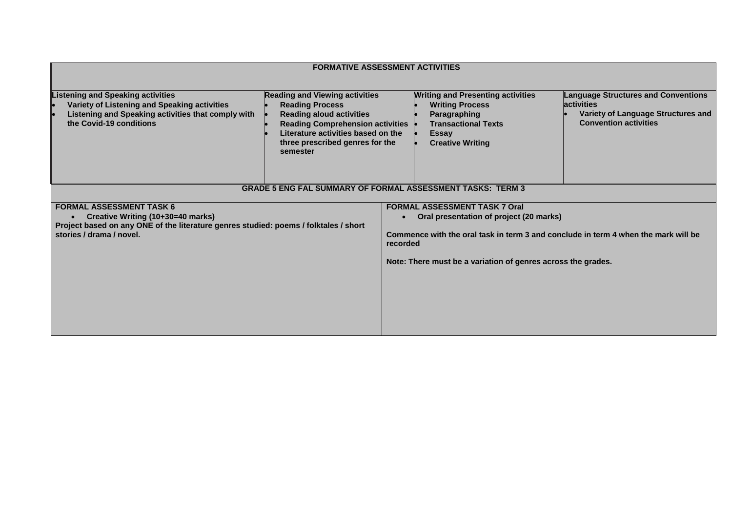| <b>FORMATIVE ASSESSMENT ACTIVITIES</b>                                                                                                                                                   |                                                                                                                                                                                                                                    |                                                                                                                                                                                                                                                    |                                                                                                                                        |  |  |
|------------------------------------------------------------------------------------------------------------------------------------------------------------------------------------------|------------------------------------------------------------------------------------------------------------------------------------------------------------------------------------------------------------------------------------|----------------------------------------------------------------------------------------------------------------------------------------------------------------------------------------------------------------------------------------------------|----------------------------------------------------------------------------------------------------------------------------------------|--|--|
| <b>Listening and Speaking activities</b><br>Variety of Listening and Speaking activities<br>Listening and Speaking activities that comply with<br>the Covid-19 conditions                | <b>Reading and Viewing activities</b><br><b>Reading Process</b><br><b>Reading aloud activities</b><br><b>Reading Comprehension activities</b><br>Literature activities based on the<br>three prescribed genres for the<br>semester | <b>Writing and Presenting activities</b><br><b>Writing Process</b><br>Paragraphing<br><b>Transactional Texts</b><br><b>Essay</b><br><b>Creative Writing</b>                                                                                        | <b>Language Structures and Conventions</b><br><b>lactivities</b><br>Variety of Language Structures and<br><b>Convention activities</b> |  |  |
|                                                                                                                                                                                          | <b>GRADE 5 ENG FAL SUMMARY OF FORMAL ASSESSMENT TASKS: TERM 3</b>                                                                                                                                                                  |                                                                                                                                                                                                                                                    |                                                                                                                                        |  |  |
| <b>FORMAL ASSESSMENT TASK 6</b><br>Creative Writing (10+30=40 marks)<br>Project based on any ONE of the literature genres studied: poems / folktales / short<br>stories / drama / novel. | recorded                                                                                                                                                                                                                           | <b>FORMAL ASSESSMENT TASK 7 Oral</b><br>Oral presentation of project (20 marks)<br>$\bullet$<br>Commence with the oral task in term 3 and conclude in term 4 when the mark will be<br>Note: There must be a variation of genres across the grades. |                                                                                                                                        |  |  |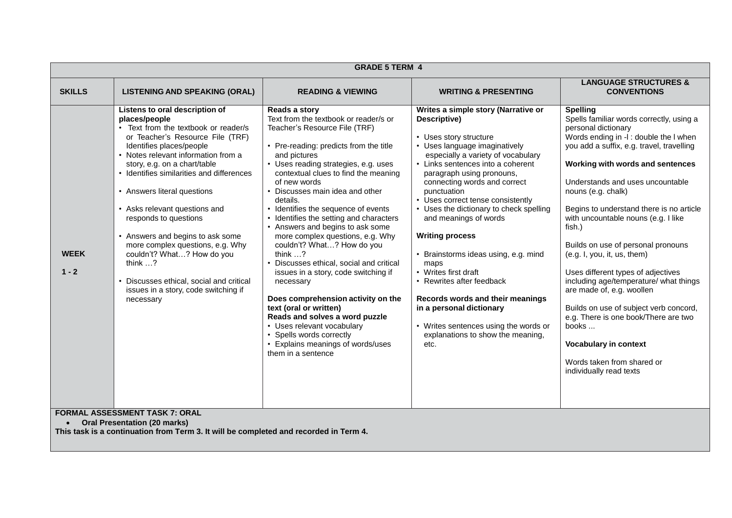| <b>GRADE 5 TERM 4</b>  |                                                                                                                                                                                                                                                                                                                                                                                                                                                                                                                                                                                                                                          |                                                                                                                                                                                                                                                                                                                                                                                                                                                                                                                                                                                                                                                                                                                                                                                                                                      |                                                                                                                                                                                                                                                                                                                                                                                                                                                                                                                                                                                                                                                                     |                                                                                                                                                                                                                                                                                                                                                                                                                                                                                                                                                                                                                                                                                                                                           |  |
|------------------------|------------------------------------------------------------------------------------------------------------------------------------------------------------------------------------------------------------------------------------------------------------------------------------------------------------------------------------------------------------------------------------------------------------------------------------------------------------------------------------------------------------------------------------------------------------------------------------------------------------------------------------------|--------------------------------------------------------------------------------------------------------------------------------------------------------------------------------------------------------------------------------------------------------------------------------------------------------------------------------------------------------------------------------------------------------------------------------------------------------------------------------------------------------------------------------------------------------------------------------------------------------------------------------------------------------------------------------------------------------------------------------------------------------------------------------------------------------------------------------------|---------------------------------------------------------------------------------------------------------------------------------------------------------------------------------------------------------------------------------------------------------------------------------------------------------------------------------------------------------------------------------------------------------------------------------------------------------------------------------------------------------------------------------------------------------------------------------------------------------------------------------------------------------------------|-------------------------------------------------------------------------------------------------------------------------------------------------------------------------------------------------------------------------------------------------------------------------------------------------------------------------------------------------------------------------------------------------------------------------------------------------------------------------------------------------------------------------------------------------------------------------------------------------------------------------------------------------------------------------------------------------------------------------------------------|--|
| <b>SKILLS</b>          | <b>LISTENING AND SPEAKING (ORAL)</b>                                                                                                                                                                                                                                                                                                                                                                                                                                                                                                                                                                                                     | <b>READING &amp; VIEWING</b>                                                                                                                                                                                                                                                                                                                                                                                                                                                                                                                                                                                                                                                                                                                                                                                                         | <b>WRITING &amp; PRESENTING</b>                                                                                                                                                                                                                                                                                                                                                                                                                                                                                                                                                                                                                                     | <b>LANGUAGE STRUCTURES &amp;</b><br><b>CONVENTIONS</b>                                                                                                                                                                                                                                                                                                                                                                                                                                                                                                                                                                                                                                                                                    |  |
| <b>WEEK</b><br>$1 - 2$ | Listens to oral description of<br>places/people<br>• Text from the textbook or reader/s<br>or Teacher's Resource File (TRF)<br>Identifies places/people<br>• Notes relevant information from a<br>story, e.g. on a chart/table<br>• Identifies similarities and differences<br>• Answers literal questions<br>• Asks relevant questions and<br>responds to questions<br>• Answers and begins to ask some<br>more complex questions, e.g. Why<br>couldn't? What? How do you<br>think $\ldots$ ?<br>• Discusses ethical, social and critical<br>issues in a story, code switching if<br>necessary<br><b>FORMAL ASSESSMENT TASK 7: ORAL</b> | Reads a story<br>Text from the textbook or reader/s or<br>Teacher's Resource File (TRF)<br>• Pre-reading: predicts from the title<br>and pictures<br>• Uses reading strategies, e.g. uses<br>contextual clues to find the meaning<br>of new words<br>• Discusses main idea and other<br>details.<br>• Identifies the sequence of events<br>• Identifies the setting and characters<br>• Answers and begins to ask some<br>more complex questions, e.g. Why<br>couldn't? What? How do you<br>think $\ldots$ ?<br>• Discusses ethical, social and critical<br>issues in a story, code switching if<br>necessary<br>Does comprehension activity on the<br>text (oral or written)<br>Reads and solves a word puzzle<br>• Uses relevant vocabulary<br>• Spells words correctly<br>• Explains meanings of words/uses<br>them in a sentence | Writes a simple story (Narrative or<br>Descriptive)<br>• Uses story structure<br>• Uses language imaginatively<br>especially a variety of vocabulary<br>• Links sentences into a coherent<br>paragraph using pronouns,<br>connecting words and correct<br>punctuation<br>• Uses correct tense consistently<br>• Uses the dictionary to check spelling<br>and meanings of words<br><b>Writing process</b><br>• Brainstorms ideas using, e.g. mind<br>maps<br>• Writes first draft<br>• Rewrites after feedback<br>Records words and their meanings<br>in a personal dictionary<br>• Writes sentences using the words or<br>explanations to show the meaning,<br>etc. | <b>Spelling</b><br>Spells familiar words correctly, using a<br>personal dictionary<br>Words ending in -I: double the I when<br>you add a suffix, e.g. travel, travelling<br>Working with words and sentences<br>Understands and uses uncountable<br>nouns (e.g. chalk)<br>Begins to understand there is no article<br>with uncountable nouns (e.g. I like<br>fish.)<br>Builds on use of personal pronouns<br>(e.g. I, you, it, us, them)<br>Uses different types of adjectives<br>including age/temperature/ what things<br>are made of, e.g. woollen<br>Builds on use of subject verb concord,<br>e.g. There is one book/There are two<br>books<br><b>Vocabulary in context</b><br>Words taken from shared or<br>individually read texts |  |
|                        | <b>Oral Presentation (20 marks)</b>                                                                                                                                                                                                                                                                                                                                                                                                                                                                                                                                                                                                      |                                                                                                                                                                                                                                                                                                                                                                                                                                                                                                                                                                                                                                                                                                                                                                                                                                      |                                                                                                                                                                                                                                                                                                                                                                                                                                                                                                                                                                                                                                                                     |                                                                                                                                                                                                                                                                                                                                                                                                                                                                                                                                                                                                                                                                                                                                           |  |

**This task is a continuation from Term 3. It will be completed and recorded in Term 4.**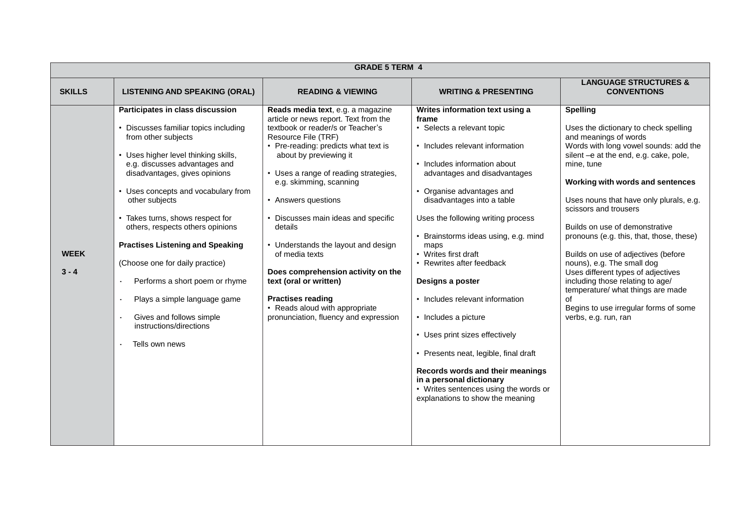|                        | <b>GRADE 5 TERM 4</b>                                                                                                                                                                                                                                                                                                                                                                                                                                                                                                                                                |                                                                                                                                                                                                                                                                                                                                                                                                                                                                                                                                                                                       |                                                                                                                                                                                                                                                                                                                                                                                                                                                                                                                                                                                                                                                                                        |                                                                                                                                                                                                                                                                                                                                                                                                                                                                                                                                                                                                                                     |  |
|------------------------|----------------------------------------------------------------------------------------------------------------------------------------------------------------------------------------------------------------------------------------------------------------------------------------------------------------------------------------------------------------------------------------------------------------------------------------------------------------------------------------------------------------------------------------------------------------------|---------------------------------------------------------------------------------------------------------------------------------------------------------------------------------------------------------------------------------------------------------------------------------------------------------------------------------------------------------------------------------------------------------------------------------------------------------------------------------------------------------------------------------------------------------------------------------------|----------------------------------------------------------------------------------------------------------------------------------------------------------------------------------------------------------------------------------------------------------------------------------------------------------------------------------------------------------------------------------------------------------------------------------------------------------------------------------------------------------------------------------------------------------------------------------------------------------------------------------------------------------------------------------------|-------------------------------------------------------------------------------------------------------------------------------------------------------------------------------------------------------------------------------------------------------------------------------------------------------------------------------------------------------------------------------------------------------------------------------------------------------------------------------------------------------------------------------------------------------------------------------------------------------------------------------------|--|
| <b>SKILLS</b>          | <b>LISTENING AND SPEAKING (ORAL)</b>                                                                                                                                                                                                                                                                                                                                                                                                                                                                                                                                 | <b>READING &amp; VIEWING</b>                                                                                                                                                                                                                                                                                                                                                                                                                                                                                                                                                          | <b>WRITING &amp; PRESENTING</b>                                                                                                                                                                                                                                                                                                                                                                                                                                                                                                                                                                                                                                                        | <b>LANGUAGE STRUCTURES &amp;</b><br><b>CONVENTIONS</b>                                                                                                                                                                                                                                                                                                                                                                                                                                                                                                                                                                              |  |
| <b>WEEK</b><br>$3 - 4$ | Participates in class discussion<br>• Discusses familiar topics including<br>from other subjects<br>• Uses higher level thinking skills,<br>e.g. discusses advantages and<br>disadvantages, gives opinions<br>• Uses concepts and vocabulary from<br>other subjects<br>• Takes turns, shows respect for<br>others, respects others opinions<br><b>Practises Listening and Speaking</b><br>(Choose one for daily practice)<br>Performs a short poem or rhyme<br>Plays a simple language game<br>Gives and follows simple<br>instructions/directions<br>Tells own news | Reads media text, e.g. a magazine<br>article or news report. Text from the<br>textbook or reader/s or Teacher's<br>Resource File (TRF)<br>• Pre-reading: predicts what text is<br>about by previewing it<br>• Uses a range of reading strategies,<br>e.g. skimming, scanning<br>• Answers questions<br>• Discusses main ideas and specific<br>details<br>• Understands the layout and design<br>of media texts<br>Does comprehension activity on the<br>text (oral or written)<br><b>Practises reading</b><br>• Reads aloud with appropriate<br>pronunciation, fluency and expression | Writes information text using a<br>frame<br>• Selects a relevant topic<br>• Includes relevant information<br>• Includes information about<br>advantages and disadvantages<br>• Organise advantages and<br>disadvantages into a table<br>Uses the following writing process<br>• Brainstorms ideas using, e.g. mind<br>maps<br>• Writes first draft<br>• Rewrites after feedback<br>Designs a poster<br>• Includes relevant information<br>• Includes a picture<br>• Uses print sizes effectively<br>• Presents neat, legible, final draft<br>Records words and their meanings<br>in a personal dictionary<br>• Writes sentences using the words or<br>explanations to show the meaning | <b>Spelling</b><br>Uses the dictionary to check spelling<br>and meanings of words<br>Words with long vowel sounds: add the<br>silent -e at the end, e.g. cake, pole,<br>mine, tune<br>Working with words and sentences<br>Uses nouns that have only plurals, e.g.<br>scissors and trousers<br>Builds on use of demonstrative<br>pronouns (e.g. this, that, those, these)<br>Builds on use of adjectives (before<br>nouns), e.g. The small dog<br>Uses different types of adjectives<br>including those relating to age/<br>temperature/ what things are made<br>Ωf<br>Begins to use irregular forms of some<br>verbs, e.g. run, ran |  |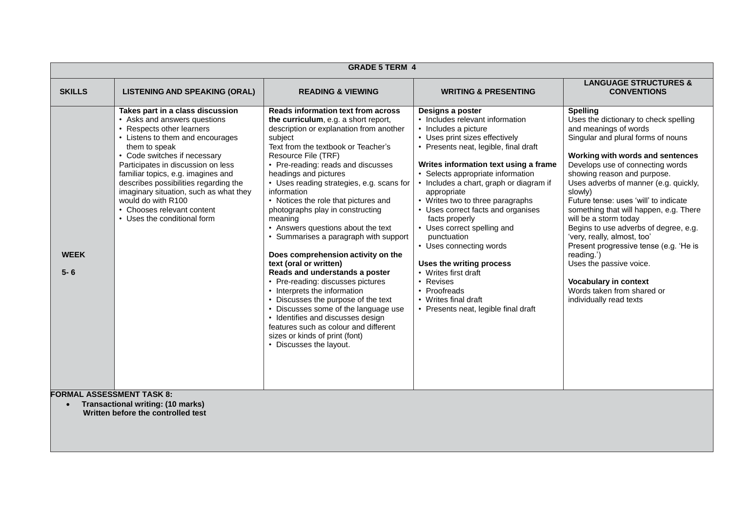| <b>GRADE 5 TERM 4</b>                                                                                              |                                                                                                                                                                                                                                                                                                                                                                                                                                      |                                                                                                                                                                                                                                                                                                                                                                                                                                                                                                                                                                                                                                                                                                                                                                                                                                                                                                   |                                                                                                                                                                                                                                                                                                                                                                                                                                                                                                                                                                                                                      |                                                                                                                                                                                                                                                                                                                                                                                                                                                                                                                                                                                                                                                    |  |
|--------------------------------------------------------------------------------------------------------------------|--------------------------------------------------------------------------------------------------------------------------------------------------------------------------------------------------------------------------------------------------------------------------------------------------------------------------------------------------------------------------------------------------------------------------------------|---------------------------------------------------------------------------------------------------------------------------------------------------------------------------------------------------------------------------------------------------------------------------------------------------------------------------------------------------------------------------------------------------------------------------------------------------------------------------------------------------------------------------------------------------------------------------------------------------------------------------------------------------------------------------------------------------------------------------------------------------------------------------------------------------------------------------------------------------------------------------------------------------|----------------------------------------------------------------------------------------------------------------------------------------------------------------------------------------------------------------------------------------------------------------------------------------------------------------------------------------------------------------------------------------------------------------------------------------------------------------------------------------------------------------------------------------------------------------------------------------------------------------------|----------------------------------------------------------------------------------------------------------------------------------------------------------------------------------------------------------------------------------------------------------------------------------------------------------------------------------------------------------------------------------------------------------------------------------------------------------------------------------------------------------------------------------------------------------------------------------------------------------------------------------------------------|--|
| <b>SKILLS</b>                                                                                                      | <b>LISTENING AND SPEAKING (ORAL)</b>                                                                                                                                                                                                                                                                                                                                                                                                 | <b>READING &amp; VIEWING</b>                                                                                                                                                                                                                                                                                                                                                                                                                                                                                                                                                                                                                                                                                                                                                                                                                                                                      | <b>WRITING &amp; PRESENTING</b>                                                                                                                                                                                                                                                                                                                                                                                                                                                                                                                                                                                      | <b>LANGUAGE STRUCTURES &amp;</b><br><b>CONVENTIONS</b>                                                                                                                                                                                                                                                                                                                                                                                                                                                                                                                                                                                             |  |
| <b>WEEK</b><br>$5 - 6$                                                                                             | Takes part in a class discussion<br>• Asks and answers questions<br>• Respects other learners<br>• Listens to them and encourages<br>them to speak<br>• Code switches if necessary<br>Participates in discussion on less<br>familiar topics, e.g. imagines and<br>describes possibilities regarding the<br>imaginary situation, such as what they<br>would do with R100<br>• Chooses relevant content<br>• Uses the conditional form | <b>Reads information text from across</b><br>the curriculum, e.g. a short report,<br>description or explanation from another<br>subject<br>Text from the textbook or Teacher's<br>Resource File (TRF)<br>• Pre-reading: reads and discusses<br>headings and pictures<br>• Uses reading strategies, e.g. scans for<br>information<br>• Notices the role that pictures and<br>photographs play in constructing<br>meaning<br>• Answers questions about the text<br>Summarises a paragraph with support<br>Does comprehension activity on the<br>text (oral or written)<br>Reads and understands a poster<br>• Pre-reading: discusses pictures<br>• Interprets the information<br>Discusses the purpose of the text<br>Discusses some of the language use<br>• Identifies and discusses design<br>features such as colour and different<br>sizes or kinds of print (font)<br>• Discusses the layout. | Designs a poster<br>• Includes relevant information<br>• Includes a picture<br>• Uses print sizes effectively<br>• Presents neat, legible, final draft<br>Writes information text using a frame<br>• Selects appropriate information<br>• Includes a chart, graph or diagram if<br>appropriate<br>• Writes two to three paragraphs<br>• Uses correct facts and organises<br>facts properly<br>• Uses correct spelling and<br>punctuation<br>• Uses connecting words<br>Uses the writing process<br>• Writes first draft<br>• Revises<br>• Proofreads<br>• Writes final draft<br>• Presents neat, legible final draft | <b>Spelling</b><br>Uses the dictionary to check spelling<br>and meanings of words<br>Singular and plural forms of nouns<br>Working with words and sentences<br>Develops use of connecting words<br>showing reason and purpose.<br>Uses adverbs of manner (e.g. quickly,<br>slowly)<br>Future tense: uses 'will' to indicate<br>something that will happen, e.g. There<br>will be a storm today<br>Begins to use adverbs of degree, e.g.<br>'very, really, almost, too'<br>Present progressive tense (e.g. 'He is<br>reading.')<br>Uses the passive voice.<br><b>Vocabulary in context</b><br>Words taken from shared or<br>individually read texts |  |
| <b>FORMAL ASSESSMENT TASK 8:</b><br><b>Transactional writing: (10 marks)</b><br>Written before the controlled test |                                                                                                                                                                                                                                                                                                                                                                                                                                      |                                                                                                                                                                                                                                                                                                                                                                                                                                                                                                                                                                                                                                                                                                                                                                                                                                                                                                   |                                                                                                                                                                                                                                                                                                                                                                                                                                                                                                                                                                                                                      |                                                                                                                                                                                                                                                                                                                                                                                                                                                                                                                                                                                                                                                    |  |